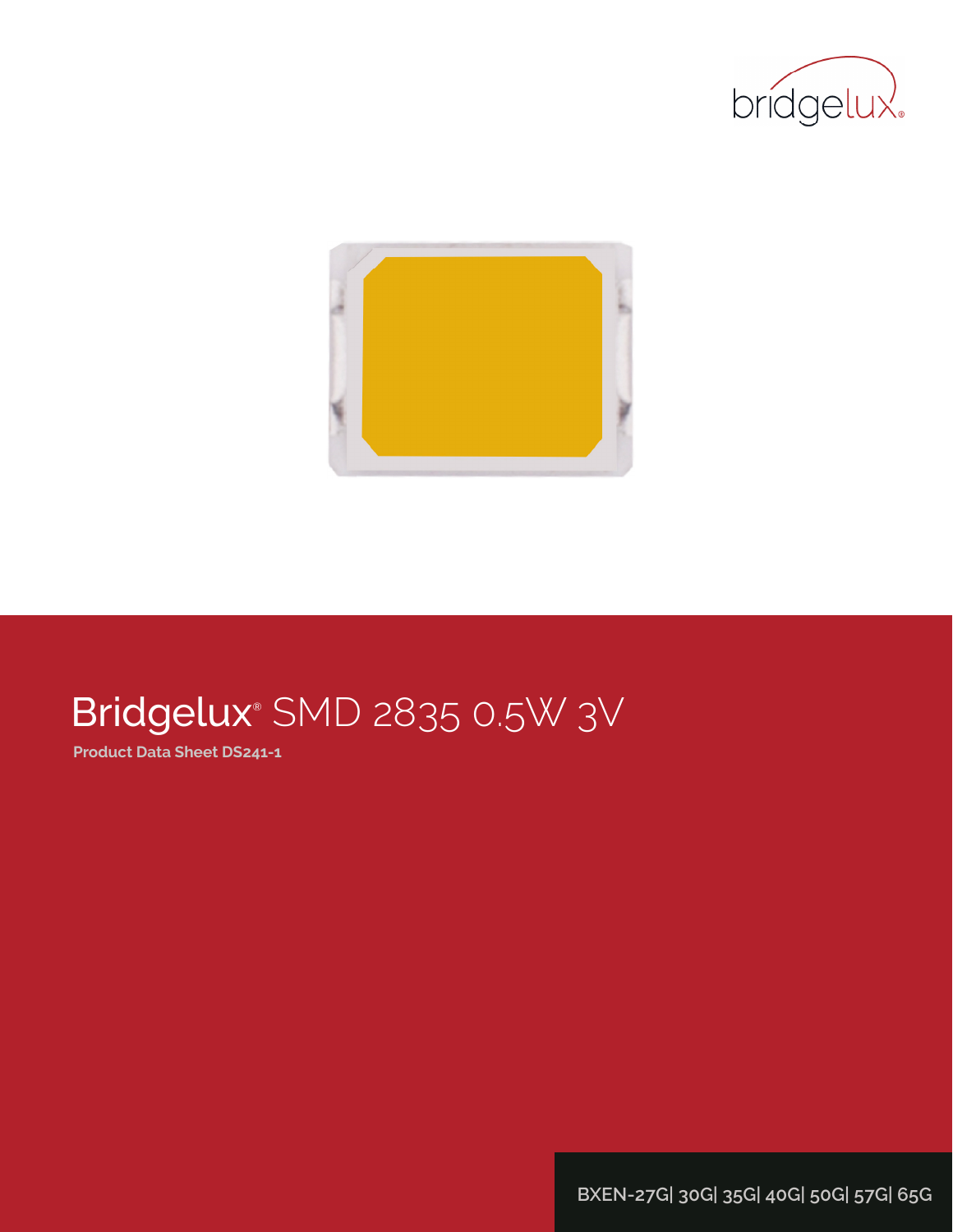



# Bridgelux® SMD 2835 0.5W 3V

**Product Data Sheet DS241-1**

**BXEN-27G| 30G| 35G| 40G| 50G| 57G| 65G**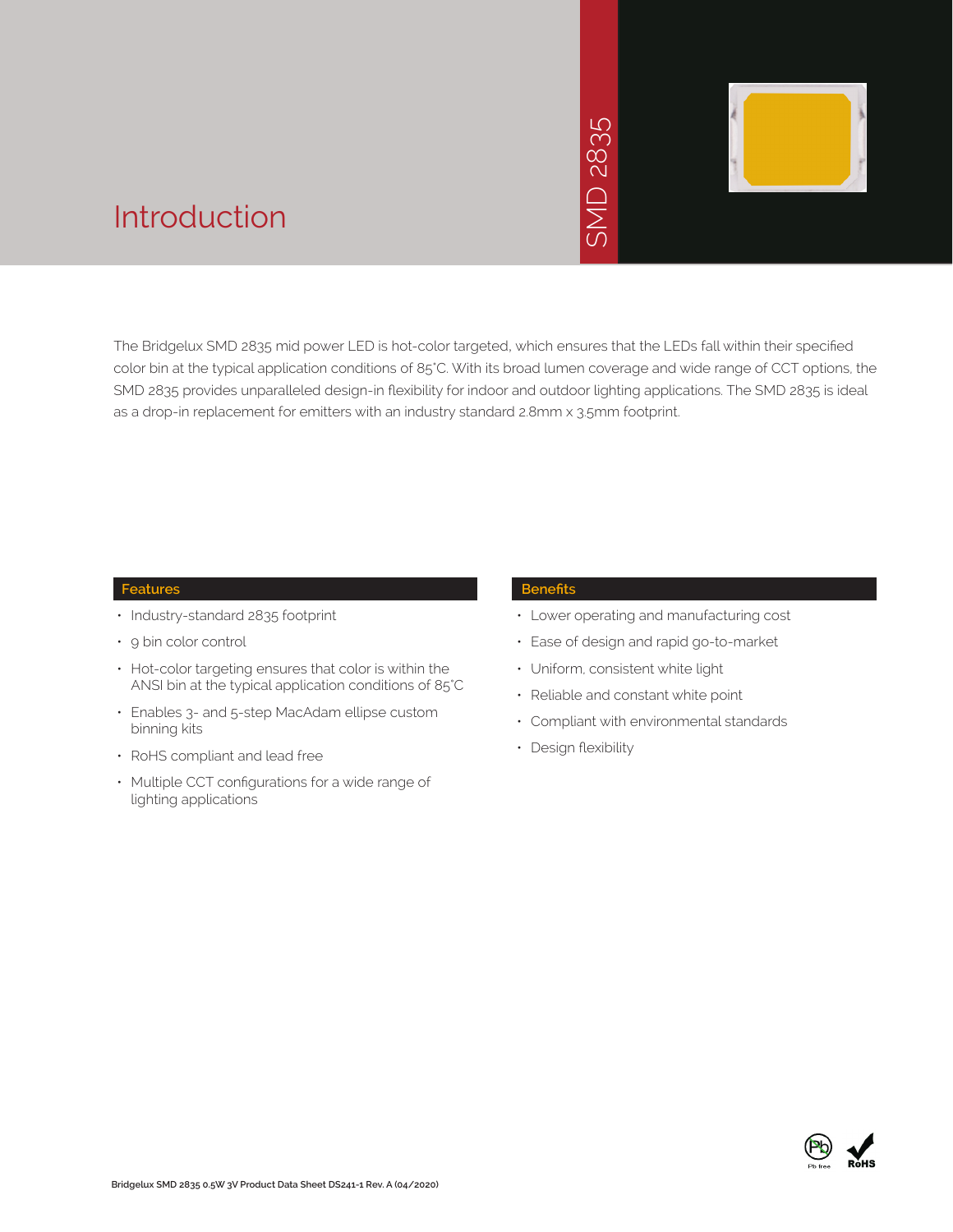# 2835 SMD 2835  $\overline{\bigcap}$ JINS



### Introduction

The Bridgelux SMD 2835 mid power LED is hot-color targeted, which ensures that the LEDs fall within their specified color bin at the typical application conditions of 85°C. With its broad lumen coverage and wide range of CCT options, the SMD 2835 provides unparalleled design-in flexibility for indoor and outdoor lighting applications. The SMD 2835 is ideal as a drop-in replacement for emitters with an industry standard 2.8mm x 3.5mm footprint.

#### **Features**

- Industry-standard 2835 footprint
- 9 bin color control
- Hot-color targeting ensures that color is within the ANSI bin at the typical application conditions of 85°C
- Enables 3- and 5-step MacAdam ellipse custom binning kits
- RoHS compliant and lead free
- Multiple CCT configurations for a wide range of lighting applications

#### **Benefits**

- Lower operating and manufacturing cost
- Ease of design and rapid go-to-market
- Uniform, consistent white light
- Reliable and constant white point
- Compliant with environmental standards
- Design flexibility

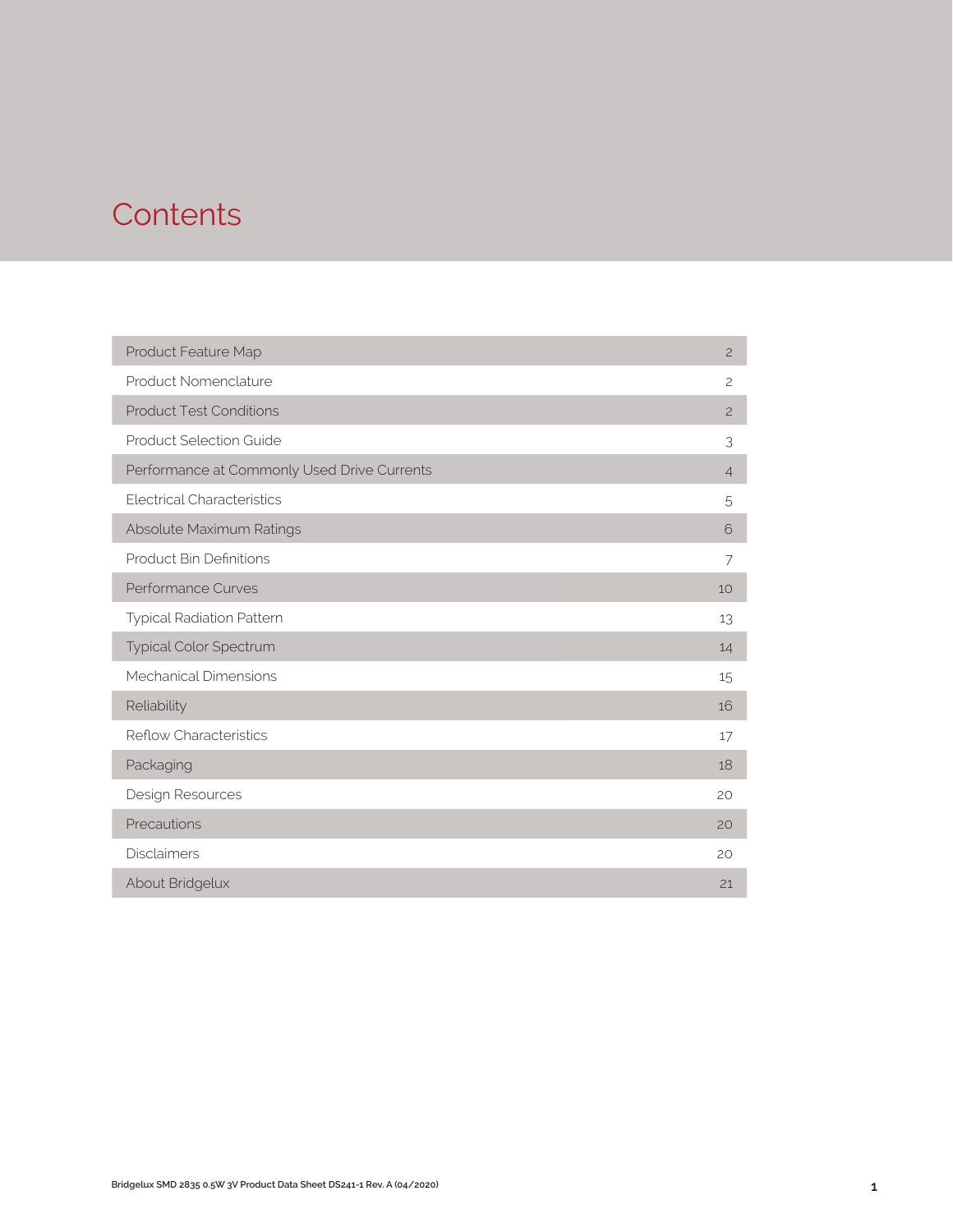### **Contents**

| Product Feature Map                         | $\overline{c}$ |
|---------------------------------------------|----------------|
| Product Nomenclature                        | $\overline{c}$ |
| <b>Product Test Conditions</b>              | $\overline{c}$ |
| <b>Product Selection Guide</b>              | 3              |
| Performance at Commonly Used Drive Currents | $\overline{4}$ |
| <b>Electrical Characteristics</b>           | 5              |
| Absolute Maximum Ratings                    | 6              |
| <b>Product Bin Definitions</b>              | 7              |
| Performance Curves                          | 10             |
| <b>Typical Radiation Pattern</b>            | 13             |
| Typical Color Spectrum                      | 14             |
| Mechanical Dimensions                       | 15             |
| Reliability                                 | 16             |
| <b>Reflow Characteristics</b>               | 17             |
| Packaging                                   | 18             |
| Design Resources                            | 20             |
| Precautions                                 | 20             |
| <b>Disclaimers</b>                          | 20             |
| About Bridgelux                             | 21             |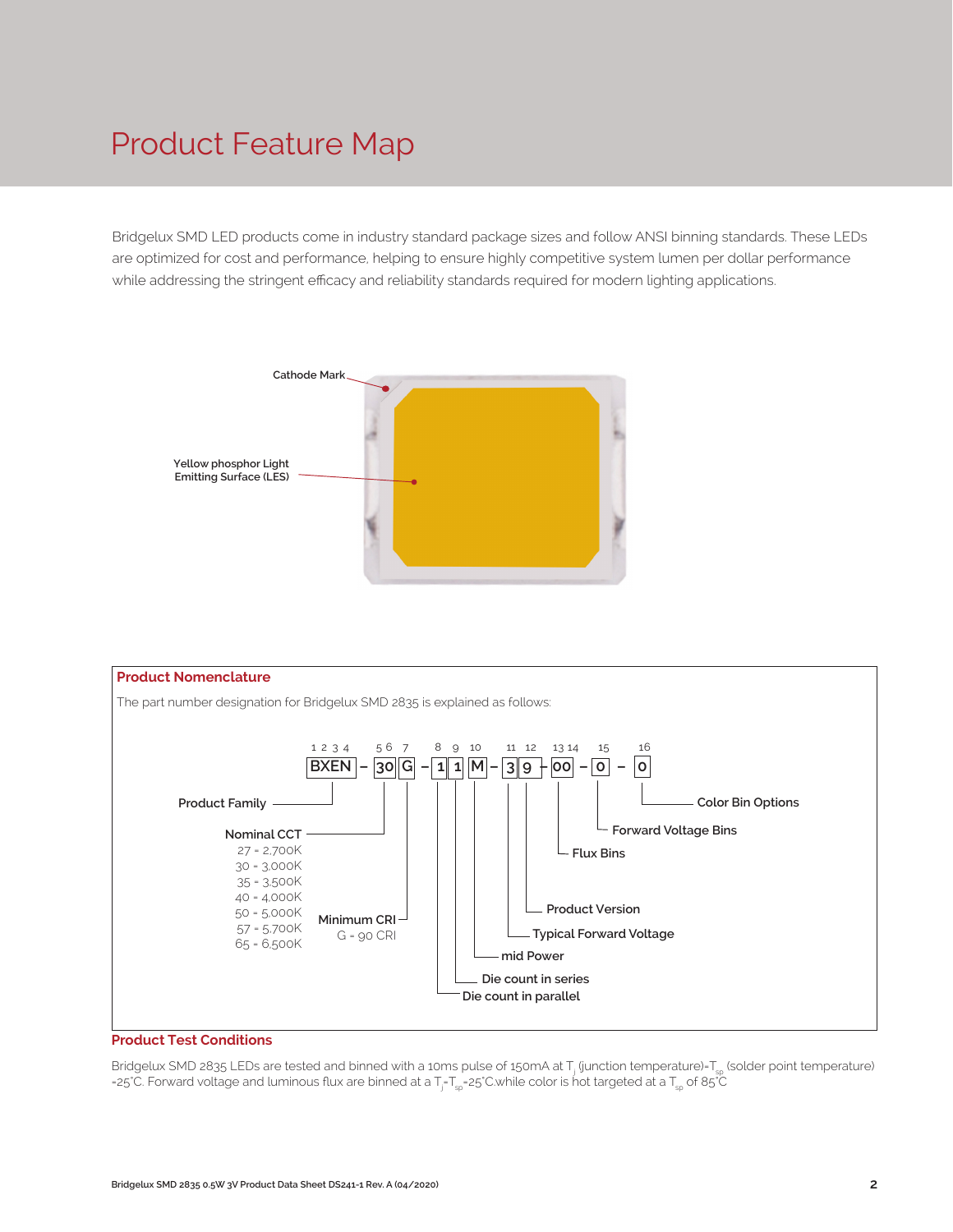### Product Feature Map

Bridgelux SMD LED products come in industry standard package sizes and follow ANSI binning standards. These LEDs are optimized for cost and performance, helping to ensure highly competitive system lumen per dollar performance while addressing the stringent efficacy and reliability standards required for modern lighting applications.





#### **Product Test Conditions**

Bridgelux SMD 2835 LEDs are tested and binned with a 10ms pulse of 150mA at T<sub>j</sub> (junction temperature)=T<sub>sp</sub> (solder point temperature) =25°C. Forward voltage and luminous flux are binned at a  $T_{j}$ -T $_{\rm sp}$ 25°C.while color is hot targeted at a T $_{\rm sp}$  of 85°C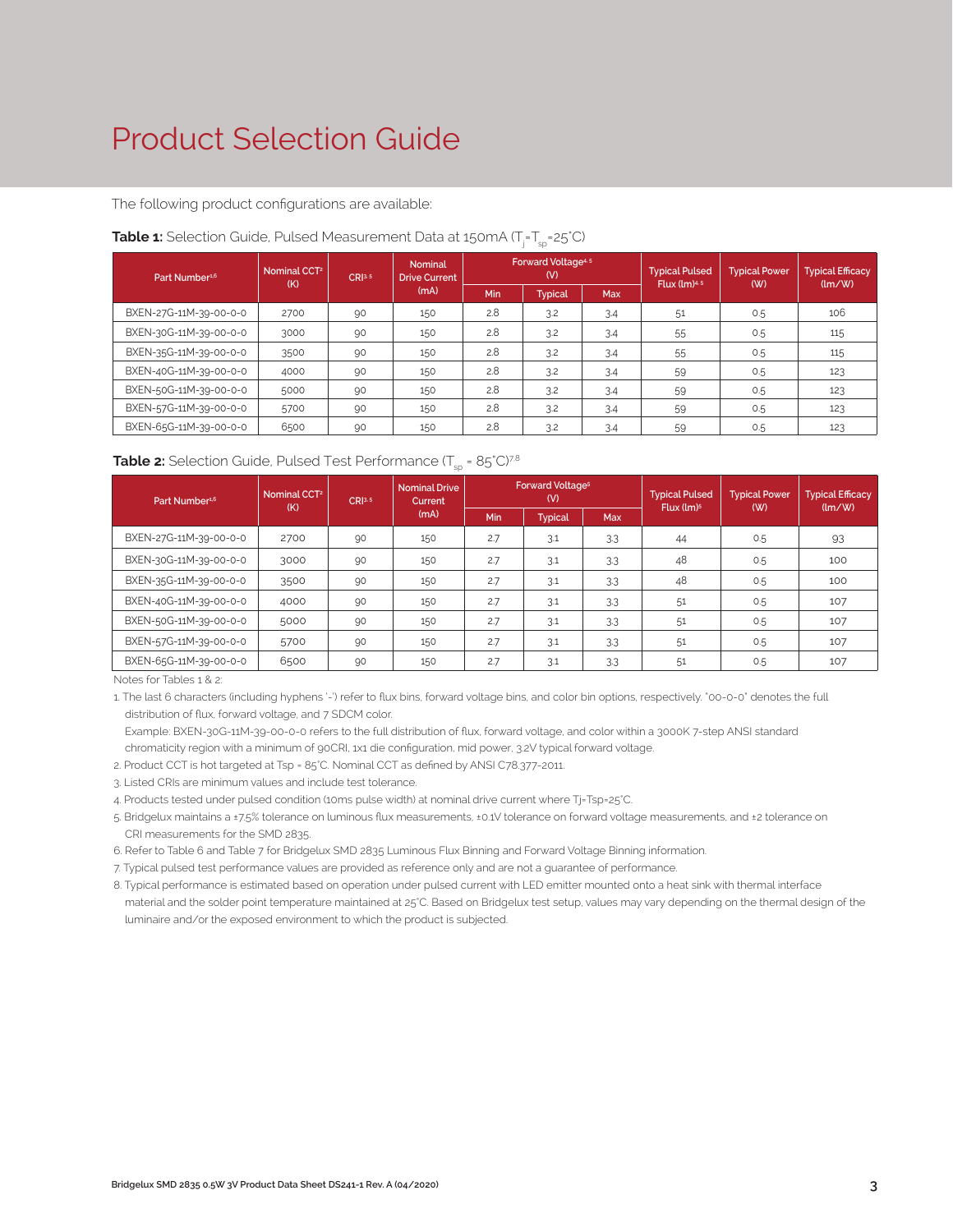### Product Selection Guide

The following product configurations are available:

| Part Number <sup>1,6</sup> | Nominal CCT <sup>2</sup><br>(K) | CRI <sup>3.5</sup> | <b>Nominal</b><br><b>Drive Current</b> |     | <b>Forward Voltage4.5</b><br>(V) |            | <b>Typical Pulsed</b><br>Flux $(lm)^{4.5}$ | <b>Typical Power</b><br>(W) | <b>Typical Efficacy</b><br>$\langle \text{Im}/\text{W} \rangle$ |
|----------------------------|---------------------------------|--------------------|----------------------------------------|-----|----------------------------------|------------|--------------------------------------------|-----------------------------|-----------------------------------------------------------------|
|                            |                                 |                    | (mA)                                   | Min | <b>Typical</b>                   | <b>Max</b> |                                            |                             |                                                                 |
| BXEN-27G-11M-39-00-0-0     | 2700                            | 90                 | 150                                    | 2.8 | 3.2                              | 3.4        | 51                                         | 0.5                         | 106                                                             |
| BXEN-30G-11M-39-00-0-0     | 3000                            | 90                 | 150                                    | 2.8 | 3.2                              | 3.4        | 55                                         | 0.5                         | 115                                                             |
| BXEN-35G-11M-39-00-0-0     | 3500                            | 90                 | 150                                    | 2.8 | 3.2                              | 3.4        | 55                                         | 0.5                         | 115                                                             |
| BXEN-40G-11M-39-00-0-0     | 4000                            | 90                 | 150                                    | 2.8 | 3.2                              | 3.4        | 59                                         | 0.5                         | 123                                                             |
| BXEN-50G-11M-39-00-0-0     | 5000                            | 90                 | 150                                    | 2.8 | 3.2                              | 3.4        | 59                                         | 0.5                         | 123                                                             |
| BXEN-57G-11M-39-00-0-0     | 5700                            | 90                 | 150                                    | 2.8 | 3.2<br>3.4<br>59<br>0.5          |            |                                            | 123                         |                                                                 |
| BXEN-65G-11M-39-00-0-0     | 6500                            | 90                 | 150                                    | 2.8 | 3.2                              | 3.4        | 59                                         | 0.5                         | 123                                                             |

#### **Table 1:** Selection Guide, Pulsed Measurement Data at 150mA (T<sub>j</sub>=T<sub>sp</sub>=25°C)

#### **Table 2:** Selection Guide, Pulsed Test Performance  $(T_{\rm so} = 85^{\circ}C)^{7,8}$

| Part Number <sup>1,6</sup> | Nominal CCT <sup>2</sup><br>CR13.5<br>(K) |    | <b>Nominal Drive</b><br>Current |     | <b>Forward Voltage<sup>5</sup></b><br>(V) |            | <b>Typical Pulsed</b>  | <b>Typical Power</b> | <b>Typical Efficacy</b>              |  |
|----------------------------|-------------------------------------------|----|---------------------------------|-----|-------------------------------------------|------------|------------------------|----------------------|--------------------------------------|--|
|                            |                                           |    | (mA)                            | Min | <b>Typical</b>                            | <b>Max</b> | Flux (lm) <sup>5</sup> | (W)                  | $\langle \text{Im}/\text{W} \rangle$ |  |
| BXEN-27G-11M-39-00-0-0     | 2700                                      | 90 | 150                             | 2.7 | 3.1                                       | 3.3        | 44                     | 0.5                  | 93                                   |  |
| BXEN-30G-11M-39-00-0-0     | 3000                                      | 90 | 150                             | 2.7 | 3.1                                       | 3.3        | 48                     | 0.5                  | 100                                  |  |
| BXEN-35G-11M-39-00-0-0     | 3500                                      | 90 | 150                             | 2.7 | 3.1                                       | 3.3        | 48                     | 0.5                  | 100                                  |  |
| BXEN-40G-11M-39-00-0-0     | 4000                                      | 90 | 150                             | 2.7 | 3.1                                       | 3.3        | 51                     | 0.5                  | 107                                  |  |
| BXEN-50G-11M-39-00-0-0     | 5000                                      | 90 | 150                             | 2.7 | 3.1                                       | 3.3        | 51                     | 0.5                  | 107                                  |  |
| BXEN-57G-11M-39-00-0-0     | 5700                                      | 90 | 2.7<br>150<br>3.1<br>3.3<br>51  |     | 0.5                                       | 107        |                        |                      |                                      |  |
| BXEN-65G-11M-39-00-0-0     | 6500                                      | 90 | 150                             | 2.7 | 3.1                                       | 3.3        | 51                     | 0.5                  | 107                                  |  |

Notes for Tables 1 & 2:

1. The last 6 characters (including hyphens '-') refer to flux bins, forward voltage bins, and color bin options, respectively. "00-0-0" denotes the full distribution of flux, forward voltage, and 7 SDCM color.

Example: BXEN-30G-11M-39-00-0-0 refers to the full distribution of flux, forward voltage, and color within a 3000K 7-step ANSI standard

chromaticity region with a minimum of 90CRI, 1x1 die configuration, mid power, 3.2V typical forward voltage.

2. Product CCT is hot targeted at Tsp = 85°C. Nominal CCT as defined by ANSI C78.377-2011.

3. Listed CRIs are minimum values and include test tolerance.

4. Products tested under pulsed condition (10ms pulse width) at nominal drive current where Tj=Tsp=25°C.

5. Bridgelux maintains a ±7.5% tolerance on luminous flux measurements, ±0.1V tolerance on forward voltage measurements, and ±2 tolerance on CRI measurements for the SMD 2835.

6. Refer to Table 6 and Table 7 for Bridgelux SMD 2835 Luminous Flux Binning and Forward Voltage Binning information.

7. Typical pulsed test performance values are provided as reference only and are not a guarantee of performance.

8. Typical performance is estimated based on operation under pulsed current with LED emitter mounted onto a heat sink with thermal interface material and the solder point temperature maintained at 25°C. Based on Bridgelux test setup, values may vary depending on the thermal design of the luminaire and/or the exposed environment to which the product is subjected.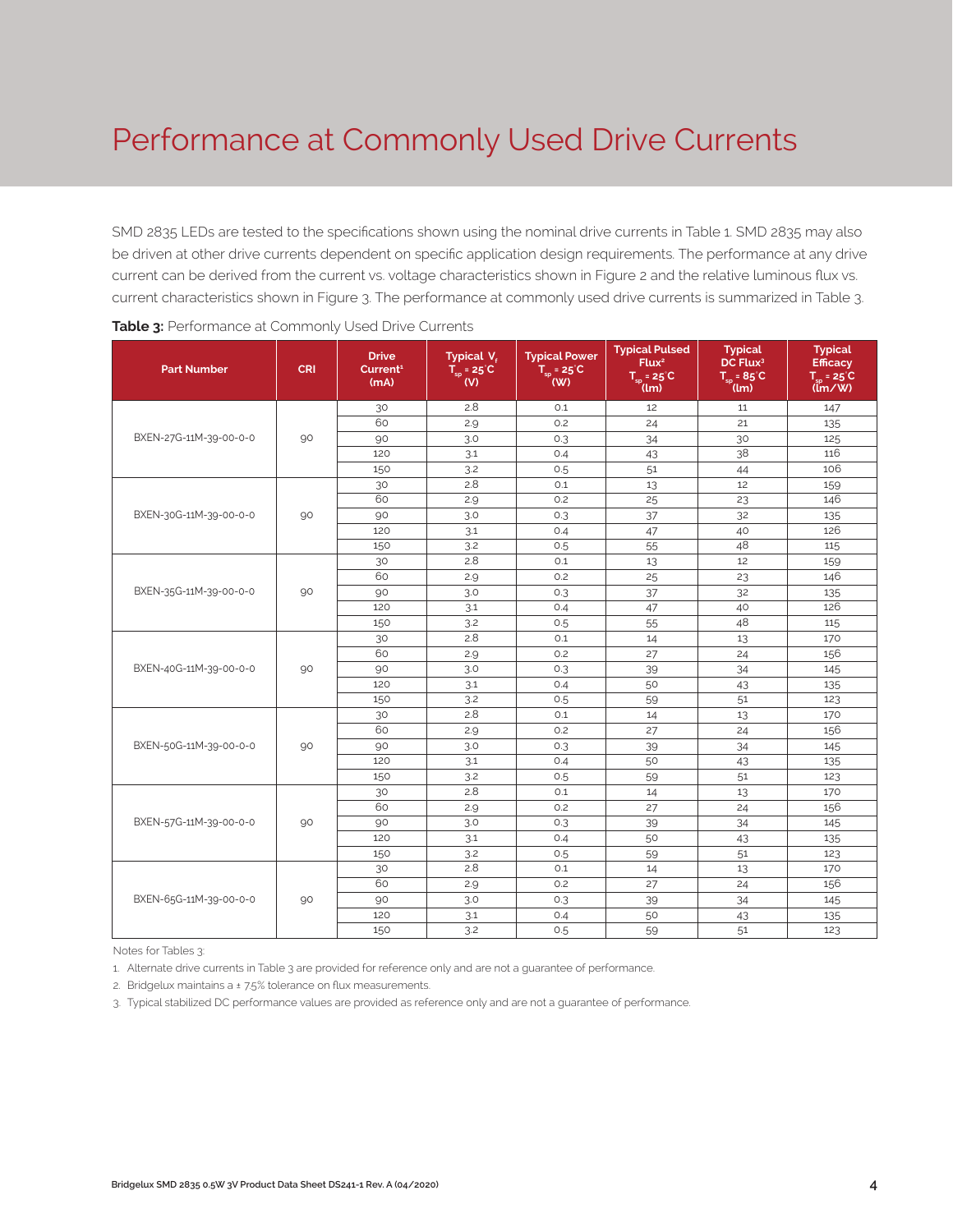### Performance at Commonly Used Drive Currents

SMD 2835 LEDs are tested to the specifications shown using the nominal drive currents in Table 1. SMD 2835 may also be driven at other drive currents dependent on specific application design requirements. The performance at any drive current can be derived from the current vs. voltage characteristics shown in Figure 2 and the relative luminous flux vs. current characteristics shown in Figure 3. The performance at commonly used drive currents is summarized in Table 3.

| <b>Part Number</b>     | <b>CRI</b> | <b>Drive</b><br>Current <sup>1</sup><br>(mA) | Typical V.<br>$T_{sp}$ = 25°C<br>(V) | <b>Typical Power</b><br>$T_{sp}$ = 25°C<br>$($ W) | <b>Typical Pulsed</b><br>Flux <sup>2</sup><br>$T_{sp} = 25^{\circ}C$<br>(lm)                                                                                                                                                                                                                                                                                                                                                                                                                                                                                                                       | <b>Typical</b><br>DC Flux <sup>3</sup><br>$T_{\rm SD} = 85^{\circ}C$<br>(lm)                                                                                         | <b>Typical</b><br><b>Efficacy</b><br>$T_{\text{cm}}$ = 25 $^{\circ}$ C<br>$(\mathbf{m} / \mathbf{W})$ |
|------------------------|------------|----------------------------------------------|--------------------------------------|---------------------------------------------------|----------------------------------------------------------------------------------------------------------------------------------------------------------------------------------------------------------------------------------------------------------------------------------------------------------------------------------------------------------------------------------------------------------------------------------------------------------------------------------------------------------------------------------------------------------------------------------------------------|----------------------------------------------------------------------------------------------------------------------------------------------------------------------|-------------------------------------------------------------------------------------------------------|
|                        |            | 30                                           | 2.8                                  | 0.1                                               | 12                                                                                                                                                                                                                                                                                                                                                                                                                                                                                                                                                                                                 | 11                                                                                                                                                                   | 147                                                                                                   |
|                        |            | 60                                           | 2.9                                  | 0.2                                               | 21<br>24<br>0.3<br>34<br>30<br>38<br>O.4<br>43<br>51<br>44<br>0.5<br>12<br>O.1<br>13<br>25<br>0.2<br>23<br>32<br>37<br>0.3<br>47<br>40<br>0.4<br>48<br>0.5<br>55<br>12<br>0.1<br>13<br>0.2<br>25<br>23<br>0.3<br>37<br>32<br>40<br>0.4<br>47<br>48<br>0.5<br>55<br>O.1<br>14<br>13<br>0.2<br>27<br>24<br>0.3<br>39<br>34<br>50<br>0.4<br>43<br>59<br>51<br>0.5<br>13<br>14<br>0.1<br>0.2<br>27<br>24<br>0.3<br>39<br>34<br>50<br>43<br>0.4<br>0.5<br>59<br>51<br>0.1<br>14<br>13<br>0.2<br>27<br>24<br>0.3<br>39<br>34<br>0.4<br>50<br>43<br>0.5<br>51<br>59<br>13<br>O.1<br>14<br>24<br>0.2<br>27 | 135                                                                                                                                                                  |                                                                                                       |
| BXEN-27G-11M-39-00-0-0 | 90         | 90                                           | 3.0                                  |                                                   |                                                                                                                                                                                                                                                                                                                                                                                                                                                                                                                                                                                                    |                                                                                                                                                                      | 125                                                                                                   |
|                        |            | 120                                          | 3.1                                  |                                                   |                                                                                                                                                                                                                                                                                                                                                                                                                                                                                                                                                                                                    |                                                                                                                                                                      | 116                                                                                                   |
|                        |            | 150                                          | 3.2                                  |                                                   |                                                                                                                                                                                                                                                                                                                                                                                                                                                                                                                                                                                                    |                                                                                                                                                                      | 106                                                                                                   |
|                        |            | 30                                           | 2.8                                  |                                                   |                                                                                                                                                                                                                                                                                                                                                                                                                                                                                                                                                                                                    |                                                                                                                                                                      | 159                                                                                                   |
|                        |            | 60                                           | 2.9                                  |                                                   |                                                                                                                                                                                                                                                                                                                                                                                                                                                                                                                                                                                                    |                                                                                                                                                                      | 146                                                                                                   |
| BXEN-30G-11M-39-00-0-0 | 90         | 90                                           | 3.0                                  |                                                   | 34<br>39<br>43<br>50<br>51<br>59                                                                                                                                                                                                                                                                                                                                                                                                                                                                                                                                                                   | 135                                                                                                                                                                  |                                                                                                       |
|                        |            | 120                                          | 3.1                                  |                                                   |                                                                                                                                                                                                                                                                                                                                                                                                                                                                                                                                                                                                    |                                                                                                                                                                      | 126                                                                                                   |
|                        |            | 150                                          | 3.2                                  |                                                   |                                                                                                                                                                                                                                                                                                                                                                                                                                                                                                                                                                                                    |                                                                                                                                                                      | 115                                                                                                   |
|                        |            | 30                                           | 2.8                                  |                                                   |                                                                                                                                                                                                                                                                                                                                                                                                                                                                                                                                                                                                    |                                                                                                                                                                      | 159                                                                                                   |
|                        |            | 60                                           | 2.9                                  |                                                   |                                                                                                                                                                                                                                                                                                                                                                                                                                                                                                                                                                                                    | 146<br>135<br>126<br>115<br>170<br>156<br>145<br>135<br>123<br>170<br>156<br>145<br>135<br>123<br>170<br>156<br>145<br>135<br>123<br>170<br>156<br>145<br>135<br>123 |                                                                                                       |
| BXEN-35G-11M-39-00-0-0 | 90         | 90                                           | 3.0                                  |                                                   |                                                                                                                                                                                                                                                                                                                                                                                                                                                                                                                                                                                                    |                                                                                                                                                                      |                                                                                                       |
|                        |            | 120                                          | 3.1                                  |                                                   |                                                                                                                                                                                                                                                                                                                                                                                                                                                                                                                                                                                                    |                                                                                                                                                                      |                                                                                                       |
|                        |            | 150                                          | 3.2                                  |                                                   |                                                                                                                                                                                                                                                                                                                                                                                                                                                                                                                                                                                                    |                                                                                                                                                                      |                                                                                                       |
|                        |            | 30                                           | 2.8                                  |                                                   |                                                                                                                                                                                                                                                                                                                                                                                                                                                                                                                                                                                                    |                                                                                                                                                                      |                                                                                                       |
|                        |            | 60                                           | 2.9                                  |                                                   |                                                                                                                                                                                                                                                                                                                                                                                                                                                                                                                                                                                                    |                                                                                                                                                                      |                                                                                                       |
| BXEN-40G-11M-39-00-0-0 | 90         | 90                                           | 3.0                                  |                                                   |                                                                                                                                                                                                                                                                                                                                                                                                                                                                                                                                                                                                    |                                                                                                                                                                      |                                                                                                       |
|                        |            | 120                                          | 3.1                                  |                                                   |                                                                                                                                                                                                                                                                                                                                                                                                                                                                                                                                                                                                    |                                                                                                                                                                      |                                                                                                       |
|                        |            | 150                                          | 3.2                                  |                                                   |                                                                                                                                                                                                                                                                                                                                                                                                                                                                                                                                                                                                    |                                                                                                                                                                      |                                                                                                       |
|                        |            | 30                                           | 2.8                                  |                                                   |                                                                                                                                                                                                                                                                                                                                                                                                                                                                                                                                                                                                    |                                                                                                                                                                      |                                                                                                       |
|                        |            | 60                                           | 2.9                                  |                                                   |                                                                                                                                                                                                                                                                                                                                                                                                                                                                                                                                                                                                    |                                                                                                                                                                      |                                                                                                       |
| BXEN-50G-11M-39-00-0-0 | 90         | 90                                           | 3.0                                  |                                                   |                                                                                                                                                                                                                                                                                                                                                                                                                                                                                                                                                                                                    |                                                                                                                                                                      |                                                                                                       |
|                        |            | 120                                          | 3.1                                  |                                                   |                                                                                                                                                                                                                                                                                                                                                                                                                                                                                                                                                                                                    |                                                                                                                                                                      |                                                                                                       |
|                        |            | 150                                          | 3.2                                  |                                                   |                                                                                                                                                                                                                                                                                                                                                                                                                                                                                                                                                                                                    |                                                                                                                                                                      |                                                                                                       |
|                        |            | 30                                           | 2.8                                  |                                                   |                                                                                                                                                                                                                                                                                                                                                                                                                                                                                                                                                                                                    |                                                                                                                                                                      |                                                                                                       |
|                        |            | 60                                           | 2.9                                  |                                                   |                                                                                                                                                                                                                                                                                                                                                                                                                                                                                                                                                                                                    |                                                                                                                                                                      |                                                                                                       |
| BXEN-57G-11M-39-00-0-0 | 90         | 90                                           | 3.0                                  |                                                   |                                                                                                                                                                                                                                                                                                                                                                                                                                                                                                                                                                                                    |                                                                                                                                                                      |                                                                                                       |
|                        |            | 120                                          | 3.1                                  |                                                   |                                                                                                                                                                                                                                                                                                                                                                                                                                                                                                                                                                                                    |                                                                                                                                                                      |                                                                                                       |
|                        |            | 150                                          | 3.2                                  |                                                   |                                                                                                                                                                                                                                                                                                                                                                                                                                                                                                                                                                                                    |                                                                                                                                                                      |                                                                                                       |
|                        |            | 30                                           | 2.8                                  |                                                   |                                                                                                                                                                                                                                                                                                                                                                                                                                                                                                                                                                                                    |                                                                                                                                                                      |                                                                                                       |
|                        |            | 60                                           | 2.9                                  |                                                   |                                                                                                                                                                                                                                                                                                                                                                                                                                                                                                                                                                                                    |                                                                                                                                                                      |                                                                                                       |
| BXEN-65G-11M-39-00-0-0 | 90         | 90                                           | 3.0                                  | 0.3                                               |                                                                                                                                                                                                                                                                                                                                                                                                                                                                                                                                                                                                    |                                                                                                                                                                      |                                                                                                       |
|                        |            | 120                                          | 3.1                                  | 0.4                                               |                                                                                                                                                                                                                                                                                                                                                                                                                                                                                                                                                                                                    |                                                                                                                                                                      |                                                                                                       |
|                        |            | 150                                          | 3.2                                  | 0.5                                               |                                                                                                                                                                                                                                                                                                                                                                                                                                                                                                                                                                                                    |                                                                                                                                                                      |                                                                                                       |

Notes for Tables 3:

1. Alternate drive currents in Table 3 are provided for reference only and are not a guarantee of performance.

2. Bridgelux maintains a ± 7.5% tolerance on flux measurements.

3. Typical stabilized DC performance values are provided as reference only and are not a guarantee of performance.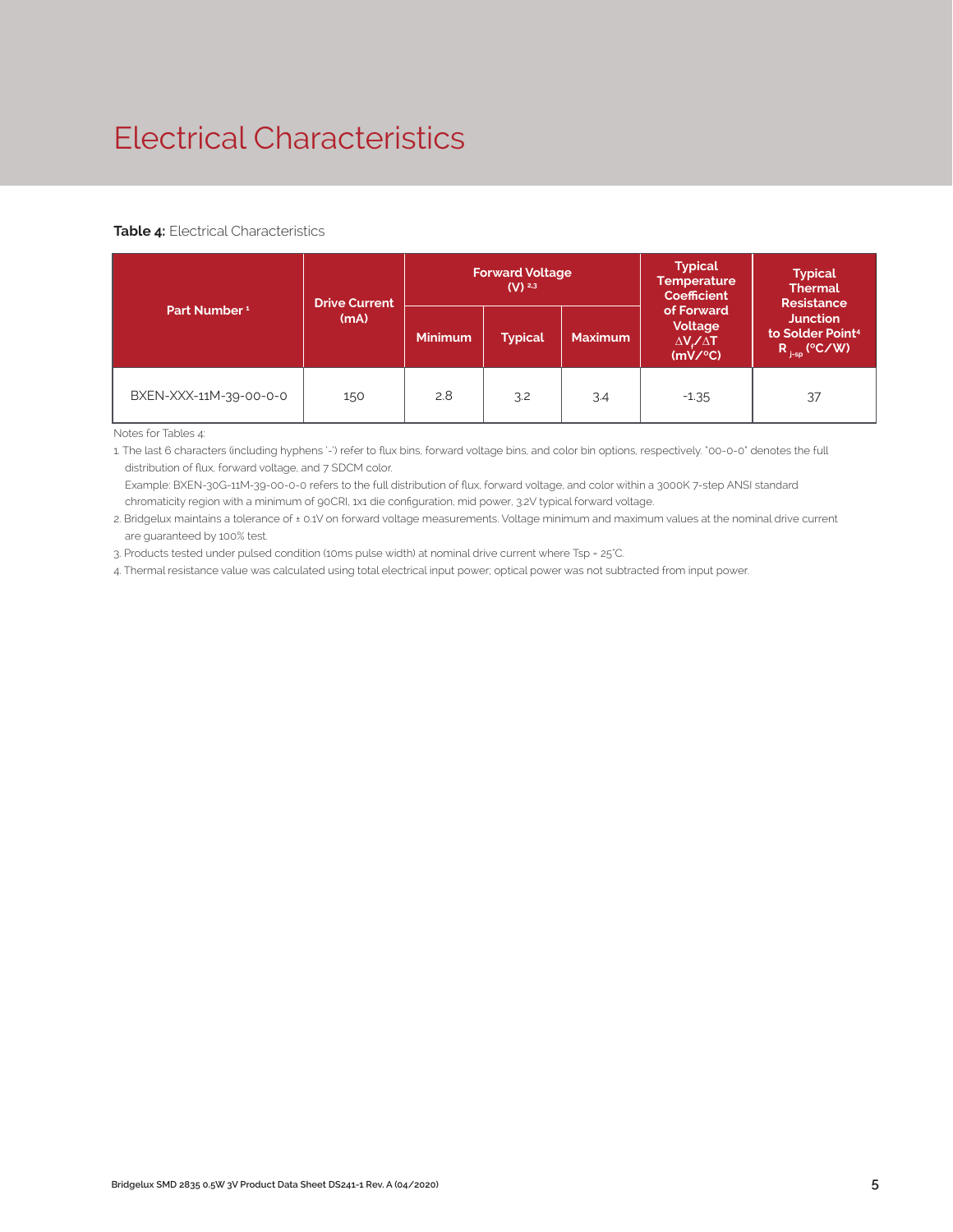### Electrical Characteristics

#### **Table 4:** Electrical Characteristics

|                          | <b>Drive Current</b> |                | <b>Forward Voltage</b><br>$(V)$ <sup>2,3</sup> |                | <b>Typical</b><br><b>Temperature</b><br><b>Coefficient</b>  | <b>Typical</b><br><b>Thermal</b><br><b>Resistance</b>                |  |
|--------------------------|----------------------|----------------|------------------------------------------------|----------------|-------------------------------------------------------------|----------------------------------------------------------------------|--|
| Part Number <sup>1</sup> | (mA)                 | <b>Minimum</b> | <b>Typical</b>                                 | <b>Maximum</b> | of Forward<br>Voltage<br>$\Delta V \sim \Delta T$<br>(mV/C) | <b>Junction</b><br>to Solder Point <sup>4</sup><br>$R_{j-sp}$ (°C/W) |  |
| BXEN-XXX-11M-39-00-0-0   | 150                  | 2.8            | 3.2                                            | 3.4            | $-1.35$                                                     | 37                                                                   |  |

Notes for Tables 4:

1. The last 6 characters (including hyphens '-') refer to flux bins, forward voltage bins, and color bin options, respectively. "00-0-0" denotes the full distribution of flux, forward voltage, and 7 SDCM color.

 Example: BXEN-30G-11M-39-00-0-0 refers to the full distribution of flux, forward voltage, and color within a 3000K 7-step ANSI standard chromaticity region with a minimum of 90CRI, 1x1 die configuration, mid power, 3.2V typical forward voltage.

2. Bridgelux maintains a tolerance of ± 0.1V on forward voltage measurements. Voltage minimum and maximum values at the nominal drive current are guaranteed by 100% test.

3. Products tested under pulsed condition (10ms pulse width) at nominal drive current where Tsp = 25°C.

4. Thermal resistance value was calculated using total electrical input power; optical power was not subtracted from input power.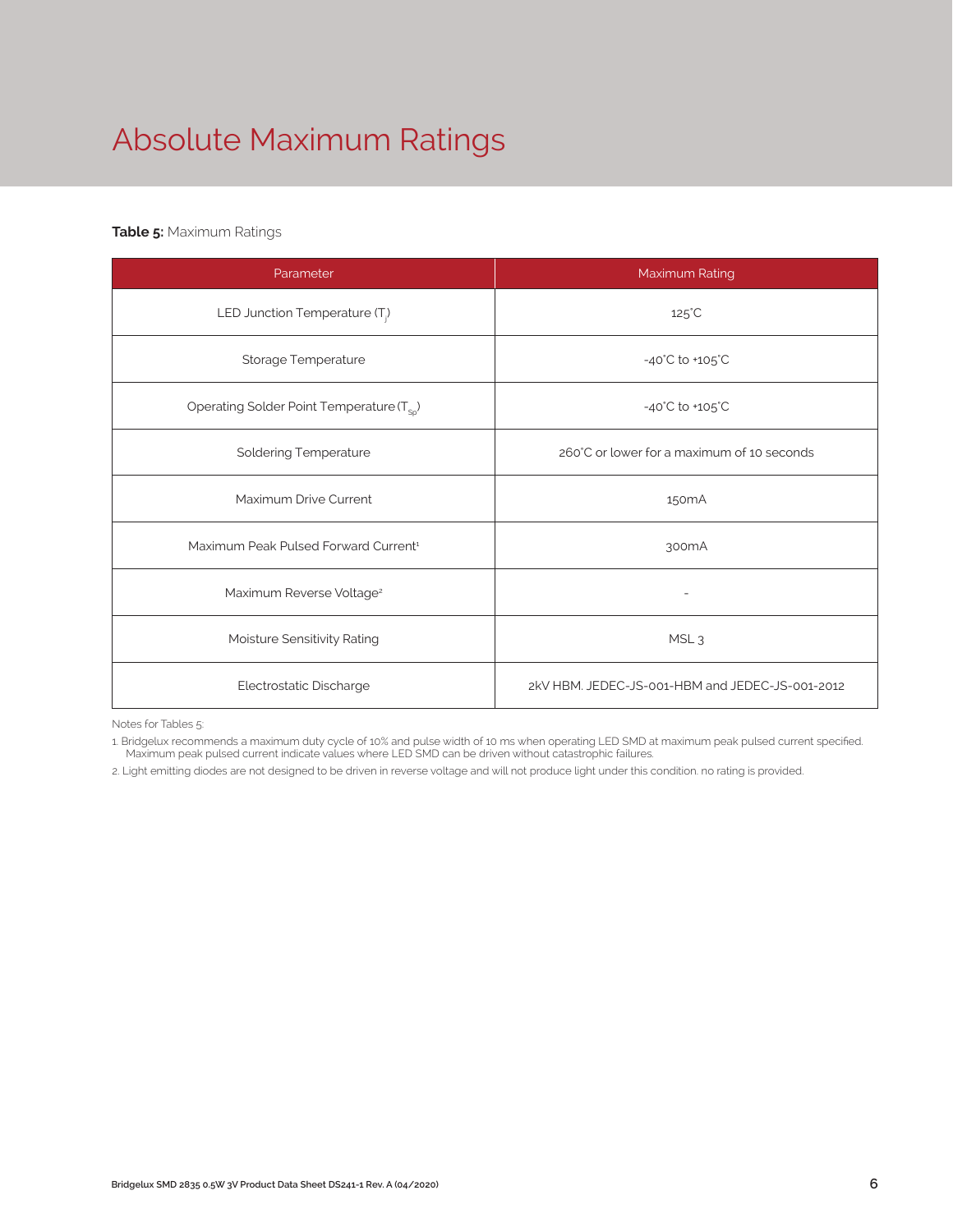# Absolute Maximum Ratings

#### **Table 5:** Maximum Ratings

| Parameter                                             | Maximum Rating                                  |
|-------------------------------------------------------|-------------------------------------------------|
| LED Junction Temperature (T <sub>i</sub> )            | $125^{\circ}$ C                                 |
| Storage Temperature                                   | $-40^{\circ}$ C to $+105^{\circ}$ C             |
| Operating Solder Point Temperature (T <sub>Sp</sub> ) | $-40^{\circ}$ C to $+105^{\circ}$ C             |
| <b>Soldering Temperature</b>                          | 260°C or lower for a maximum of 10 seconds      |
| Maximum Drive Current                                 | 150 <sub>m</sub> A                              |
| Maximum Peak Pulsed Forward Current <sup>1</sup>      | 300 <sub>m</sub> A                              |
| Maximum Reverse Voltage <sup>2</sup>                  |                                                 |
| Moisture Sensitivity Rating                           | MSL <sub>3</sub>                                |
| Electrostatic Discharge                               | 2kV HBM, JEDEC-JS-001-HBM and JEDEC-JS-001-2012 |

Notes for Tables 5:

1. Bridgelux recommends a maximum duty cycle of 10% and pulse width of 10 ms when operating LED SMD at maximum peak pulsed current specified. Maximum peak pulsed current indicate values where LED SMD can be driven without catastrophic failures.

2. Light emitting diodes are not designed to be driven in reverse voltage and will not produce light under this condition. no rating is provided.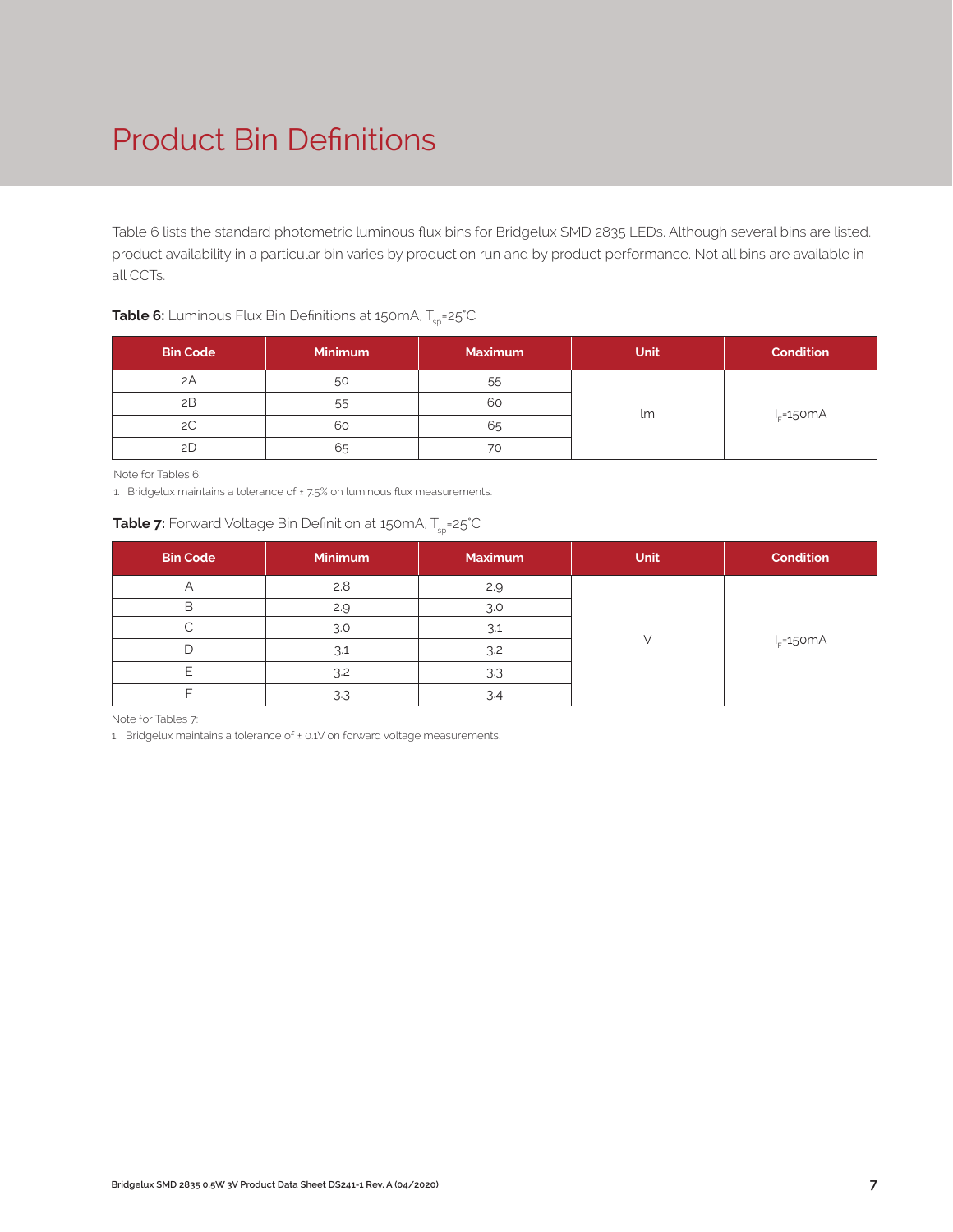### Product Bin Definitions

Table 6 lists the standard photometric luminous flux bins for Bridgelux SMD 2835 LEDs. Although several bins are listed, product availability in a particular bin varies by production run and by product performance. Not all bins are available in all CCTs.

| <b>Table 6:</b> Luminous Flux Bin Definitions at 150mA, $T_{\textrm{sp}}$ =25°C |  |
|---------------------------------------------------------------------------------|--|
|---------------------------------------------------------------------------------|--|

| <b>Bin Code</b> | <b>Minimum</b> | <b>Maximum</b> | <b>Unit</b> | <b>Condition</b> |
|-----------------|----------------|----------------|-------------|------------------|
| 2A              | 50             | 55             |             |                  |
| 2B              | 55             | 60             |             |                  |
| 2C              | 60             | 65             | lm          | $I_F = 150mA$    |
| 2D              | 65             | 70             |             |                  |

Note for Tables 6:

1. Bridgelux maintains a tolerance of ± 7.5% on luminous flux measurements.

#### **Table 7:** Forward Voltage Bin Definition at 150mA, T<sub>sp</sub>=25°C

| <b>Bin Code</b> | Minimum | <b>Maximum</b> | <b>Unit</b> | Condition     |
|-----------------|---------|----------------|-------------|---------------|
|                 | 2.8     | 2.9            |             |               |
| B               | 2.9     | 3.0            |             |               |
|                 | 3.0     | 3.1            |             |               |
|                 | 3.1     | 3.2            |             | $I_F = 150mA$ |
|                 | 3.2     | 3.3            |             |               |
|                 | 3.3     | 3.4            |             |               |

Note for Tables 7:

1. Bridgelux maintains a tolerance of ± 0.1V on forward voltage measurements.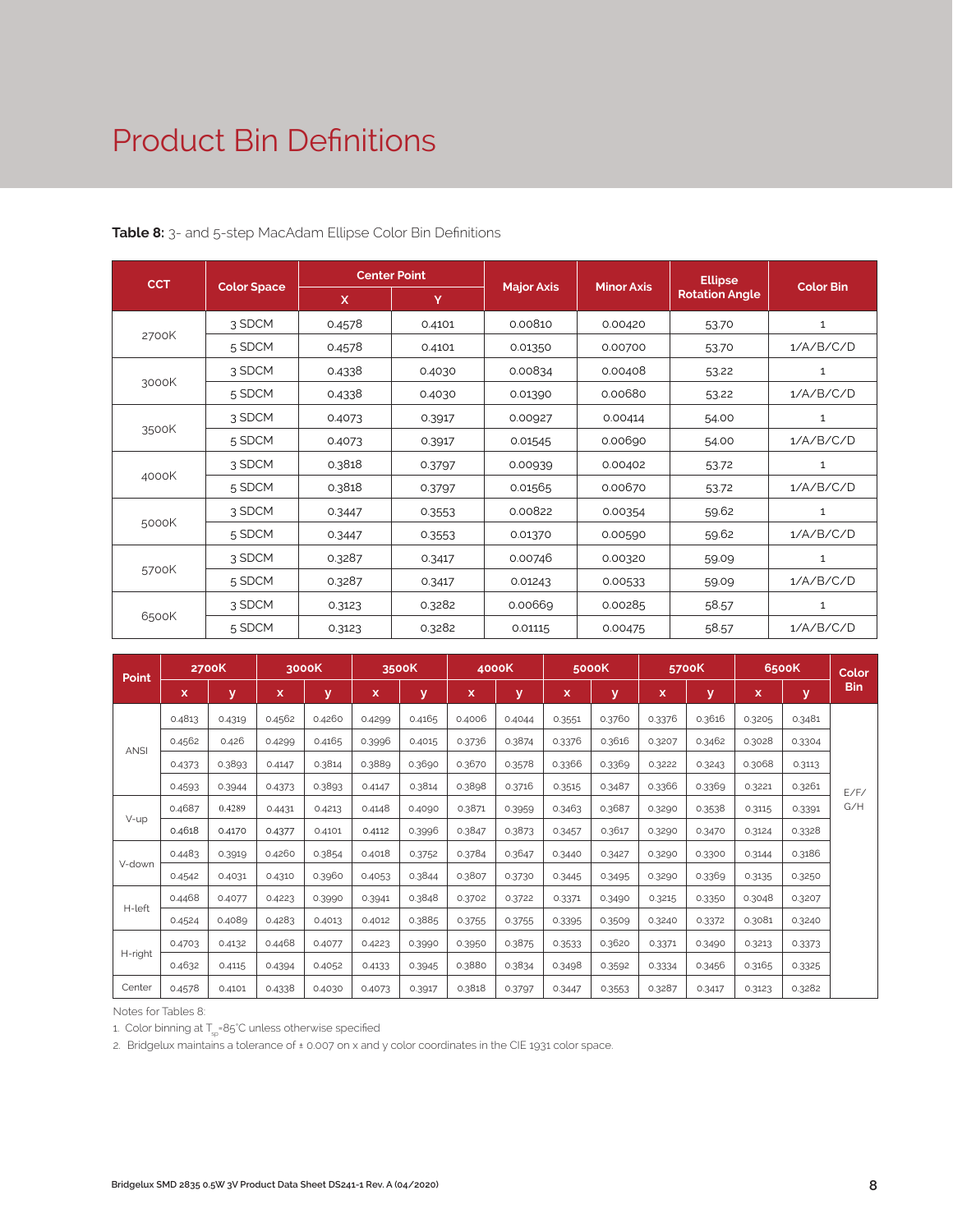### Product Bin Definitions

| <b>CCT</b> |                    |              | <b>Center Point</b> |                   |                   | <b>Ellipse</b>        |                  |
|------------|--------------------|--------------|---------------------|-------------------|-------------------|-----------------------|------------------|
|            | <b>Color Space</b> | $\mathsf{x}$ | Y                   | <b>Major Axis</b> | <b>Minor Axis</b> | <b>Rotation Angle</b> | <b>Color Bin</b> |
|            | 3 SDCM             | 0.4578       | 0.4101              | 0.00810           | 0.00420           | 53.70                 | $\mathbf{1}$     |
| 2700K      | 5 SDCM             | 0.4578       | 0.4101              | 0.01350           | 0.00700           | 53.70                 | 1/A/B/C/D        |
|            | 3 SDCM             | 0.4338       | 0.4030              | 0.00834           | 0.00408           | 53.22                 | $\mathbf{1}$     |
| 3000K      | 5 SDCM             | 0.4338       | 0.4030              | 0.01390           | 0.00680           | 53.22                 | 1/A/B/C/D        |
|            | 3 SDCM             | 0.4073       | 0.3917              | 0.00927           | 0.00414           | 54.00                 | $\mathbf{1}$     |
| 3500K      | 5 SDCM             | 0.4073       | 0.3917              | 0.01545           | 0.00690           | 54.00                 | 1/A/B/C/D        |
|            | 3 SDCM             | 0.3818       | 0.3797              | 0.00939           | 0.00402           | 53.72                 | $\mathbf{1}$     |
| 4000K      | 5 SDCM             | 0.3818       | 0.3797              | 0.01565           | 0.00670           | 53.72                 | 1/A/B/C/D        |
|            | 3 SDCM             | 0.3447       | 0.3553              | 0.00822           | 0.00354           | 59.62                 | $\mathbf{1}$     |
| 5000K      | 5 SDCM             | 0.3447       | 0.3553              | 0.01370           | 0.00590           | 59.62                 | 1/A/B/C/D        |
|            | 3 SDCM             | 0.3287       | 0.3417              | 0.00746           | 0.00320           | 59.09                 | 1                |
| 5700K      | 5 SDCM             | 0.3287       | 0.3417              | 0.01243           | 0.00533           | 59.09                 | 1/A/B/C/D        |
|            | 3 SDCM             | 0.3123       | 0.3282              | 0.00669           | 0.00285           | 58.57                 | 1                |
| 6500K      | 5 SDCM             | 0.3123       | 0.3282              | 0.01115           | 0.00475           | 58.57                 | 1/A/B/C/D        |

**Table 8:** 3- and 5-step MacAdam Ellipse Color Bin Definitions

| <b>Point</b> |        | <b>2700K</b><br>3000K |        | 3500K  |             |        | 4000K  |        | 5000K  |        | 5700K  | 6500K  |        | Color  |      |
|--------------|--------|-----------------------|--------|--------|-------------|--------|--------|--------|--------|--------|--------|--------|--------|--------|------|
|              | x      | y                     | x      | v      | $\mathbf x$ | У      | x      | y      | x      | ۷      | x      | y      | x      | V.     | Bin  |
|              | 0.4813 | 0.4319                | 0.4562 | 0.4260 | 0.4299      | 0.4165 | 0.4006 | 0.4044 | 0.3551 | 0.3760 | 0.3376 | 0.3616 | 0.3205 | 0.3481 |      |
| <b>ANSI</b>  | 0.4562 | 0.426                 | 0.4299 | 0.4165 | 0.3996      | 0.4015 | 0.3736 | 0.3874 | 0.3376 | 0.3616 | 0.3207 | 0.3462 | 0.3028 | 0.3304 |      |
|              | 0.4373 | 0.3893                | 0.4147 | 0.3814 | 0.3889      | 0.3690 | 0.3670 | 0.3578 | 0.3366 | 0.3369 | 0.3222 | 0.3243 | 0.3068 | 0.3113 |      |
|              | 0.4593 | 0.3944                | 0.4373 | 0.3893 | 0.4147      | 0.3814 | 0.3898 | 0.3716 | 0.3515 | 0.3487 | 0.3366 | 0.3369 | 0.3221 | 0.3261 | F/F/ |
|              | 0.4687 | 0.4289                | 0.4431 | 0.4213 | 0.4148      | 0.4090 | 0.3871 | 0.3959 | 0.3463 | 0.3687 | 0.3290 | 0.3538 | 0.3115 | 0.3391 | G/H  |
| V-up         | 0.4618 | 0.4170                | 0.4377 | 0.4101 | 0.4112      | 0.3996 | 0.3847 | 0.3873 | 0.3457 | 0.3617 | 0.3290 | 0.3470 | 0.3124 | 0.3328 |      |
|              | 0.4483 | 0.3919                | 0.4260 | 0.3854 | 0.4018      | 0.3752 | 0.3784 | 0.3647 | 0.3440 | 0.3427 | 0.3290 | 0.3300 | 0.3144 | 0.3186 |      |
| V-down       | 0.4542 | 0.4031                | 0.4310 | 0.3960 | 0.4053      | 0.3844 | 0.3807 | 0.3730 | 0.3445 | 0.3495 | 0.3290 | 0.3369 | 0.3135 | 0.3250 |      |
|              | 0.4468 | 0.4077                | 0.4223 | 0.3990 | 0.3941      | 0.3848 | 0.3702 | 0.3722 | 0.3371 | 0.3490 | 0.3215 | 0.3350 | 0.3048 | 0.3207 |      |
| H-left       | 0.4524 | 0.4089                | 0.4283 | 0.4013 | 0.4012      | 0.3885 | 0.3755 | 0.3755 | 0.3395 | 0.3509 | 0.3240 | 0.3372 | 0.3081 | 0.3240 |      |
|              | 0.4703 | 0.4132                | 0.4468 | 0.4077 | 0.4223      | 0.3990 | 0.3950 | 0.3875 | 0.3533 | 0.3620 | 0.3371 | 0.3490 | 0.3213 | 0.3373 |      |
| H-right      | 0.4632 | 0.4115                | 0.4394 | 0.4052 | 0.4133      | 0.3945 | 0.3880 | 0.3834 | 0.3498 | 0.3592 | 0.3334 | 0.3456 | 0.3165 | 0.3325 |      |
| Center       | 0.4578 | 0.4101                | 0.4338 | 0.4030 | 0.4073      | 0.3917 | 0.3818 | 0.3797 | 0.3447 | 0.3553 | 0.3287 | 0.3417 | 0.3123 | 0.3282 |      |

Notes for Tables 8:

1. Color binning at  $T_{\rm so}$ =85°C unless otherwise specified

2. Bridgelux maintains a tolerance of ± 0.007 on x and y color coordinates in the CIE 1931 color space.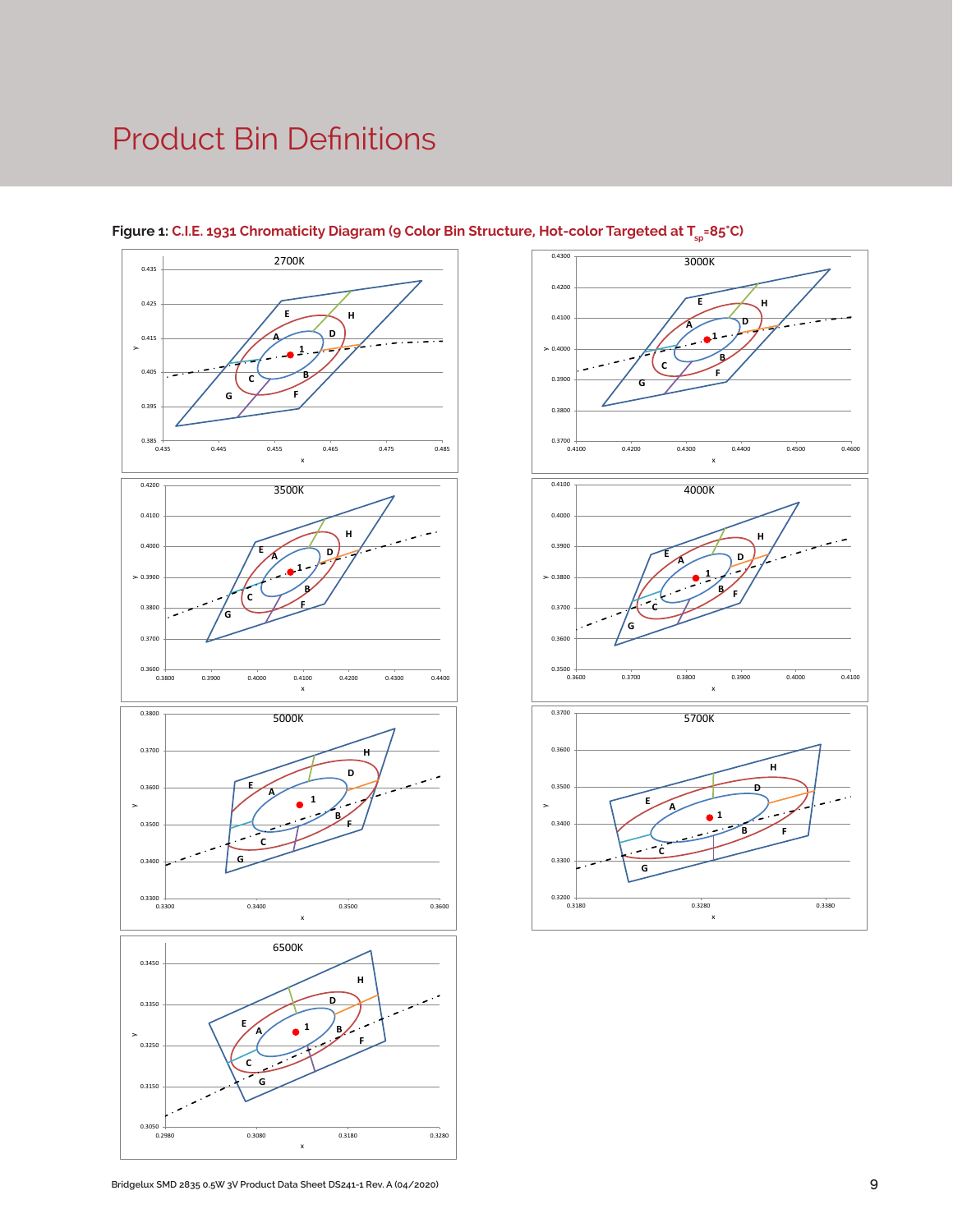### Product Bin Definitions



#### Figure 1: C.I.E. 1931 Chromaticity Diagram (9 Color Bin Structure, Hot-color Targeted at T<sub>sp</sub>=85°C)

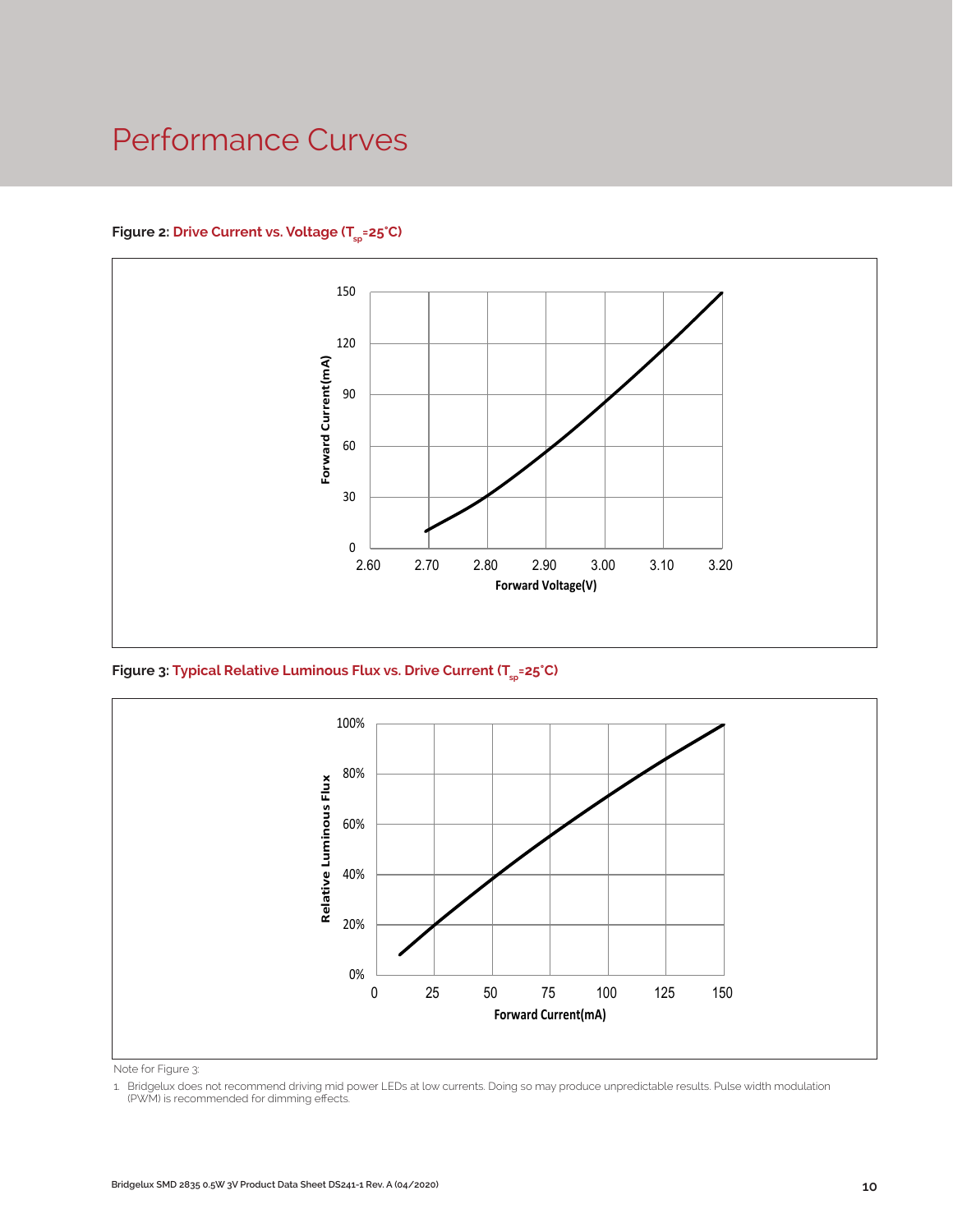### Performance Curves

#### Figure 2: Drive Current vs. Voltage (T<sub>SD</sub>=25°C)



Figure 3: Typical Relative Luminous Flux vs. Drive Current (T<sub>sp</sub>=25°C)



Note for Figure 3:

1. Bridgelux does not recommend driving mid power LEDs at low currents. Doing so may produce unpredictable results. Pulse width modulation (PWM) is recommended for dimming effects.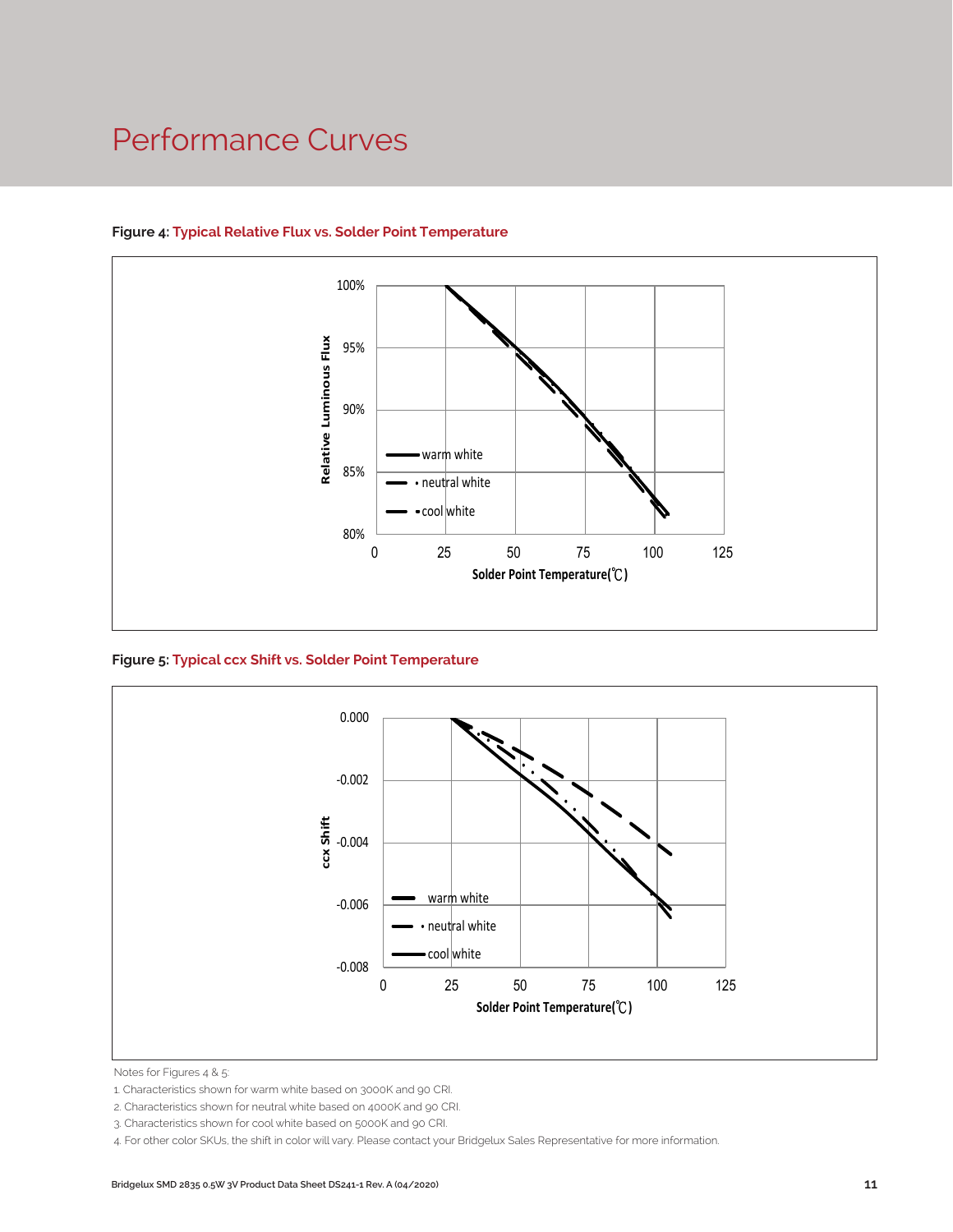### Performance Curves



#### **Figure 4: Typical Relative Flux vs. Solder Point Temperature**

**Figure 5: Typical ccx Shift vs. Solder Point Temperature**



Notes for Figures 4 & 5:

2. Characteristics shown for neutral white based on 4000K and 90 CRI.

4. For other color SKUs, the shift in color will vary. Please contact your Bridgelux Sales Representative for more information.

<sup>1.</sup> Characteristics shown for warm white based on 3000K and 90 CRI.

<sup>3.</sup> Characteristics shown for cool white based on 5000K and 90 CRI.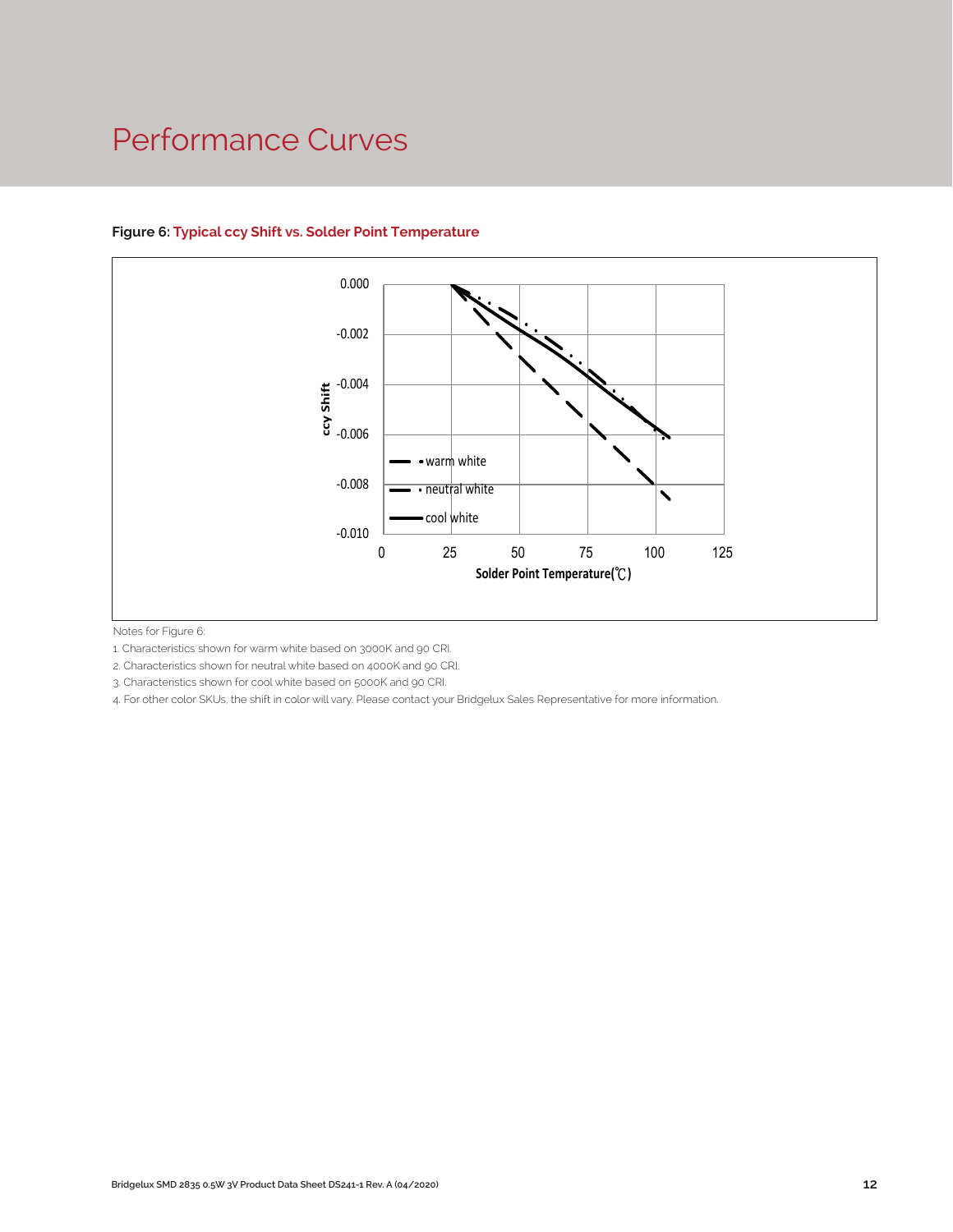### Performance Curves



#### **Figure 6: Typical ccy Shift vs. Solder Point Temperature**

Notes for Figure 6:

1. Characteristics shown for warm white based on 3000K and 90 CRI.

2. Characteristics shown for neutral white based on 4000K and 90 CRI.

3. Characteristics shown for cool white based on 5000K and 90 CRI.

4. For other color SKUs, the shift in color will vary. Please contact your Bridgelux Sales Representative for more information.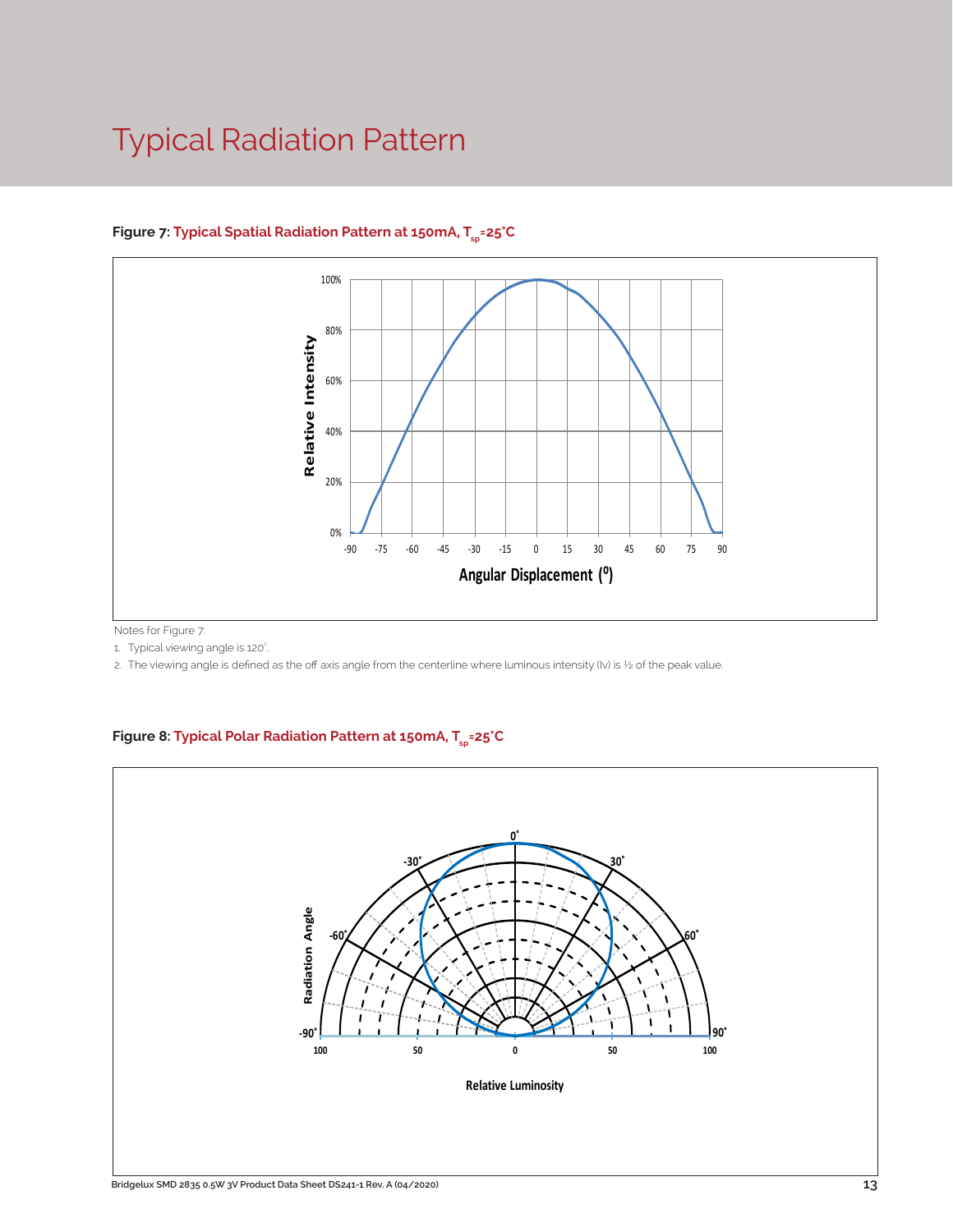### Typical Radiation Pattern



#### Figure 7: Typical Spatial Radiation Pattern at 150mA, T<sub>sp</sub>=25°C

Notes for Figure 7:

1. Typical viewing angle is 120°. .

2. The viewing angle is defined as the off axis angle from the centerline where luminous intensity (Iv) is ½ of the peak value.

#### Figure 8: Typical Polar Radiation Pattern at 150mA, T<sub>sp</sub>=25°C

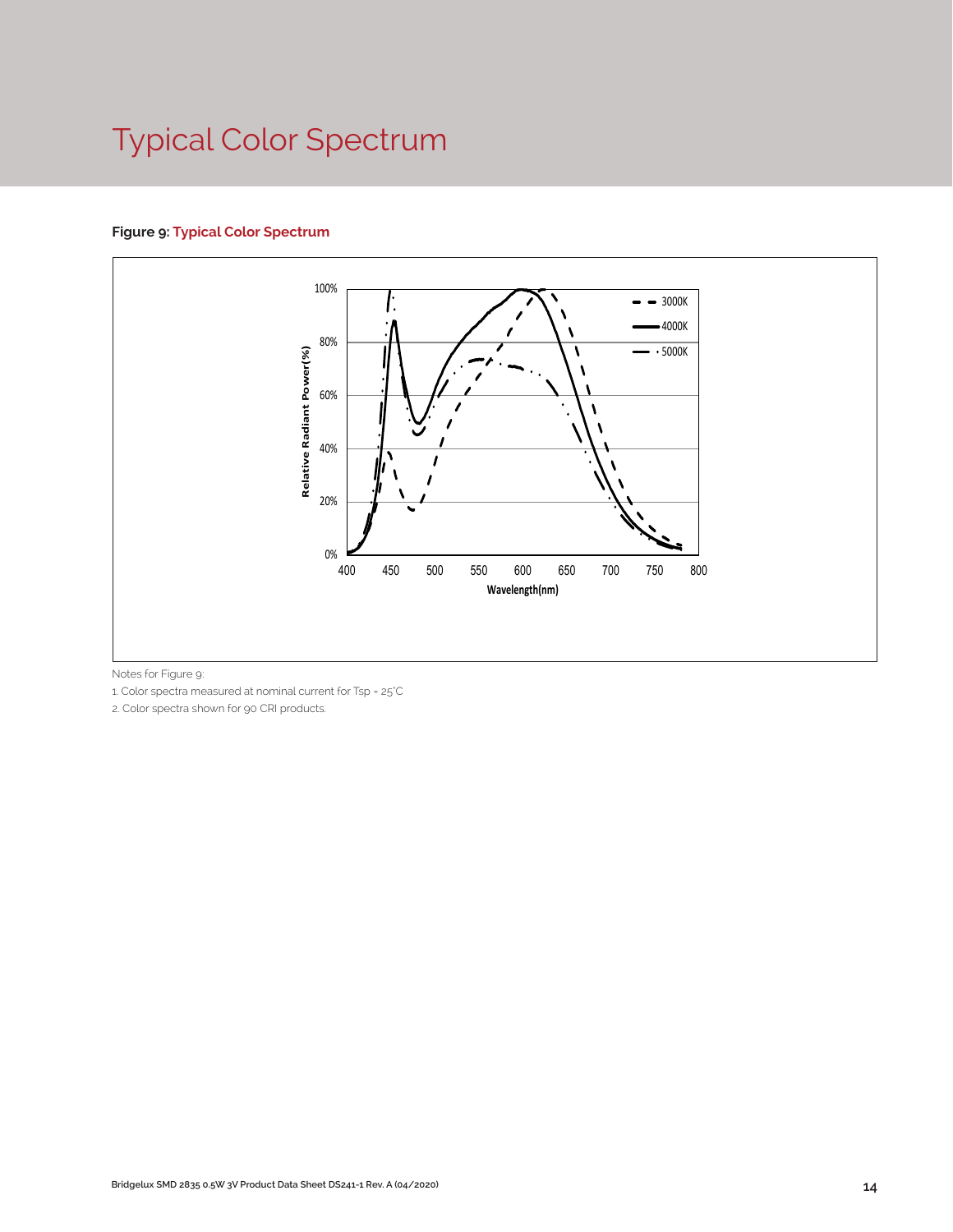## Typical Color Spectrum

#### **Figure 9: Typical Color Spectrum**



Notes for Figure 9:

1. Color spectra measured at nominal current for Tsp = 25°C

2. Color spectra shown for 90 CRI products.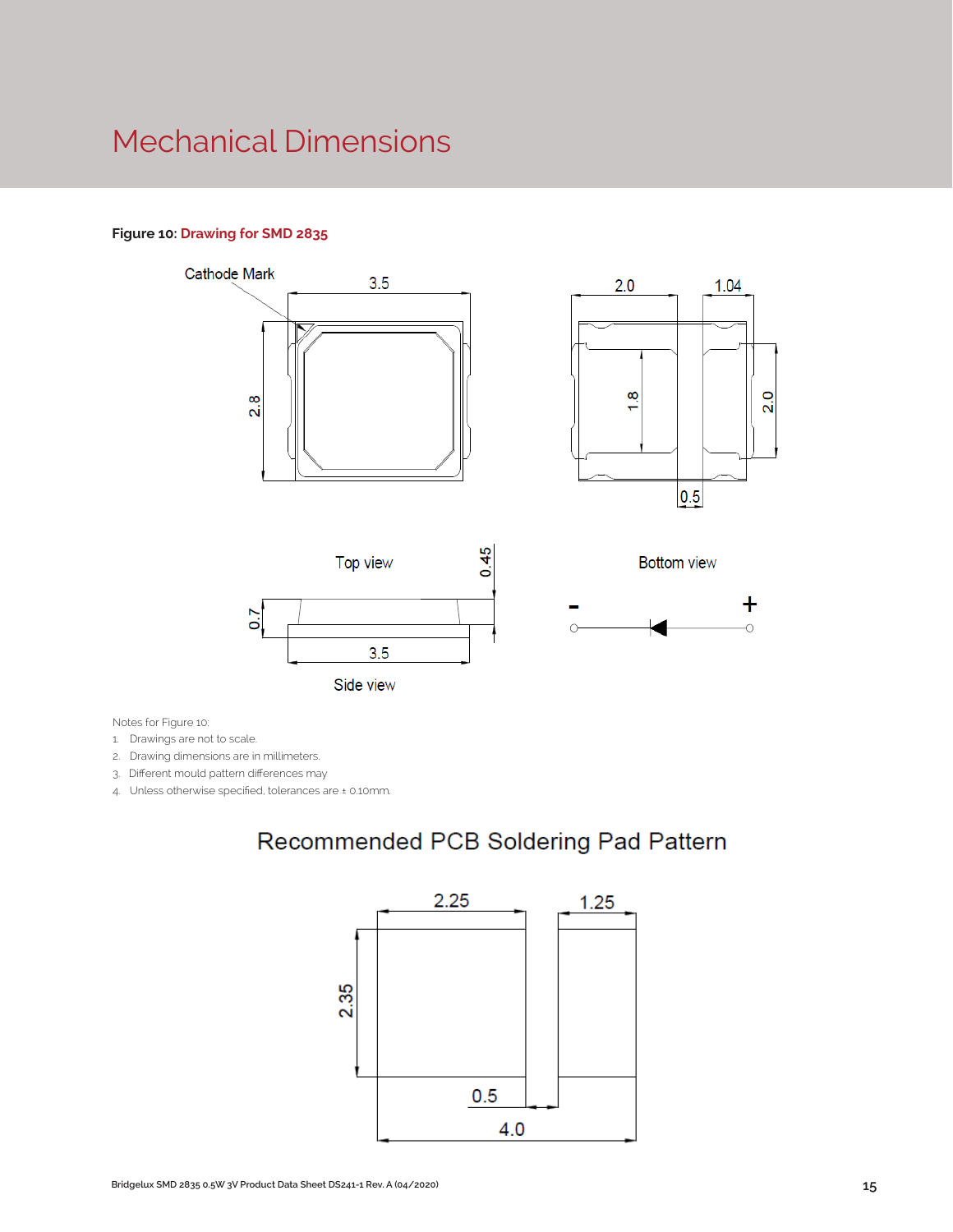### Mechanical Dimensions

#### **Figure 10: Drawing for SMD 2835**



Notes for Figure 10:

1. Drawings are not to scale.

2. Drawing dimensions are in millimeters.

3. Different mould pattern differences may

4. Unless otherwise specified, tolerances are ± 0.10mm.

### Recommended PCB Soldering Pad Pattern

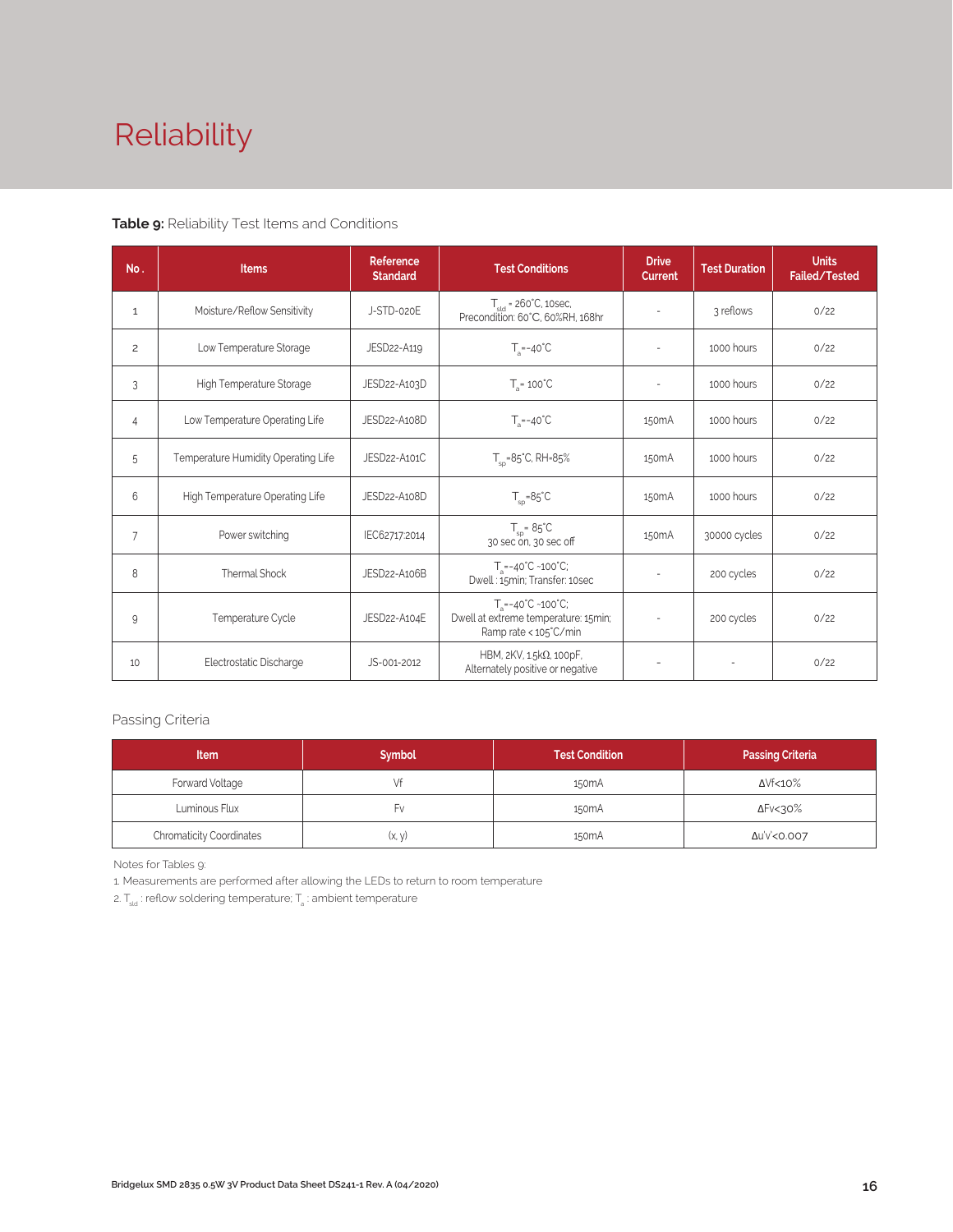# Reliability

#### **Table 9:** Reliability Test Items and Conditions

| No.            | <b>Items</b>                        | Reference<br><b>Standard</b> | <b>Test Conditions</b>                                                                                 | <b>Drive</b><br><b>Current</b> | <b>Test Duration</b> | <b>Units</b><br><b>Failed/Tested</b> |
|----------------|-------------------------------------|------------------------------|--------------------------------------------------------------------------------------------------------|--------------------------------|----------------------|--------------------------------------|
| $\mathbf{1}$   | Moisture/Reflow Sensitivity         | J-STD-020E                   | $T_{\text{cld}}$ = 260°C, 10sec,<br>Precondition: 60°C, 60%RH, 168hr                                   |                                | 3 reflows            | 0/22                                 |
| $\overline{c}$ | Low Temperature Storage             | JESD22-A119                  | $T_a = -40^{\circ}C$                                                                                   | $\overline{\phantom{a}}$       | 1000 hours           | 0/22                                 |
| 3              | High Temperature Storage            | JESD22-A103D                 | $T_a = 100^{\circ}$ C                                                                                  |                                | 1000 hours           | 0/22                                 |
| 4              | Low Temperature Operating Life      | JESD22-A108D                 | $T_s = -40^{\circ}C$                                                                                   | 150 <sub>m</sub> A             | 1000 hours           | 0/22                                 |
| 5              | Temperature Humidity Operating Life | JESD22-A101C                 | $T_{\rm SD} = 85^{\circ}$ C, RH=85%                                                                    | 150 <sub>m</sub> A             | 1000 hours           | 0/22                                 |
| 6              | High Temperature Operating Life     | JESD22-A108D                 | $T_{\rm SD} = 85^{\circ}C$                                                                             | 150 <sub>m</sub> A             | 1000 hours           | 0/22                                 |
| $\overline{7}$ | Power switching                     | IEC62717:2014                | $T_{\rm SD} = 85^{\circ}C$<br>30 sec on, 30 sec off                                                    | 150 <sub>m</sub> A             | 30000 cycles         | 0/22                                 |
| 8              | Thermal Shock                       | JESD22-A106B                 | $T_a = -40^{\circ}C \sim 100^{\circ}C$ ;<br>Dwell: 15min; Transfer: 10sec                              | $\sim$                         | 200 cycles           | 0/22                                 |
| 9              | Temperature Cycle                   | JESD22-A104E                 | $T_a = -40^{\circ}C - 100^{\circ}C$ ;<br>Dwell at extreme temperature: 15min;<br>Ramp rate < 105°C/min |                                | 200 cycles           | 0/22                                 |
| 10             | Electrostatic Discharge             | JS-001-2012                  | HBM, $2KV$ , $1.5k\Omega$ , 100pF,<br>Alternately positive or negative                                 | $\overline{\phantom{a}}$       |                      | 0/22                                 |

#### Passing Criteria

| <b>Item</b>                     | <b>Symbol</b> | <b>Test Condition</b> | <b>Passing Criteria</b> |
|---------------------------------|---------------|-----------------------|-------------------------|
| Forward Voltage                 |               | 150 <sub>m</sub> A    | ΔVf<10%                 |
| Luminous Flux                   | ۲v            | 150 <sub>m</sub> A    | ΔFν<30%                 |
| <b>Chromaticity Coordinates</b> | (x, y)        | 150 <sub>m</sub> A    | Δu'v'<0.007             |

Notes for Tables 9:

1. Measurements are performed after allowing the LEDs to return to room temperature

2.  $\mathsf{T}_{\sf std}$  : reflow soldering temperature;  $\mathsf{T}_{\sf a}$  : ambient temperature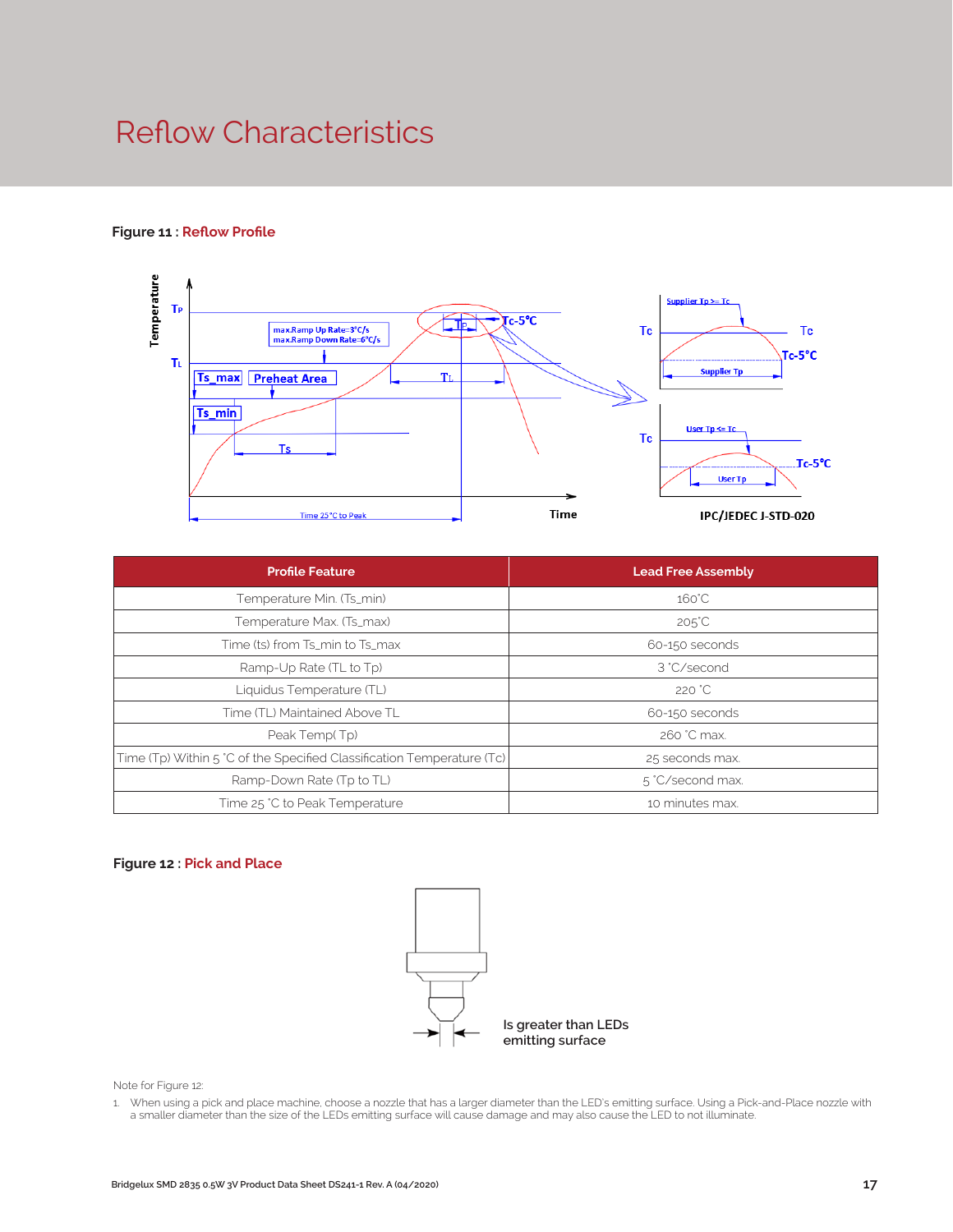### Reflow Characteristics

#### **Figure 11 : Reflow Profile**



| <b>Profile Feature</b>                                                 | <b>Lead Free Assembly</b> |  |
|------------------------------------------------------------------------|---------------------------|--|
| Temperature Min. (Ts_min)                                              | $160^{\circ}$ C           |  |
| Temperature Max. (Ts_max)                                              | $205^{\circ}$ C           |  |
| Time (ts) from Ts_min to Ts_max                                        | 60-150 seconds            |  |
| Ramp-Up Rate (TL to Tp)                                                | 3 °C/second               |  |
| Liquidus Temperature (TL)                                              | 220 °C                    |  |
| Time (TL) Maintained Above TL                                          | 60-150 seconds            |  |
| Peak Temp(Tp)                                                          | 260 °C max.               |  |
| Time (Tp) Within 5 °C of the Specified Classification Temperature (Tc) | 25 seconds max.           |  |
| Ramp-Down Rate (Tp to TL)                                              | 5 °C/second max.          |  |
| Time 25 °C to Peak Temperature                                         | 10 minutes max.           |  |

#### **Figure 12 : Pick and Place**



Note for Figure 12:

1. When using a pick and place machine, choose a nozzle that has a larger diameter than the LED's emitting surface. Using a Pick-and-Place nozzle with a smaller diameter than the size of the LEDs emitting surface will cause damage and may also cause the LED to not illuminate.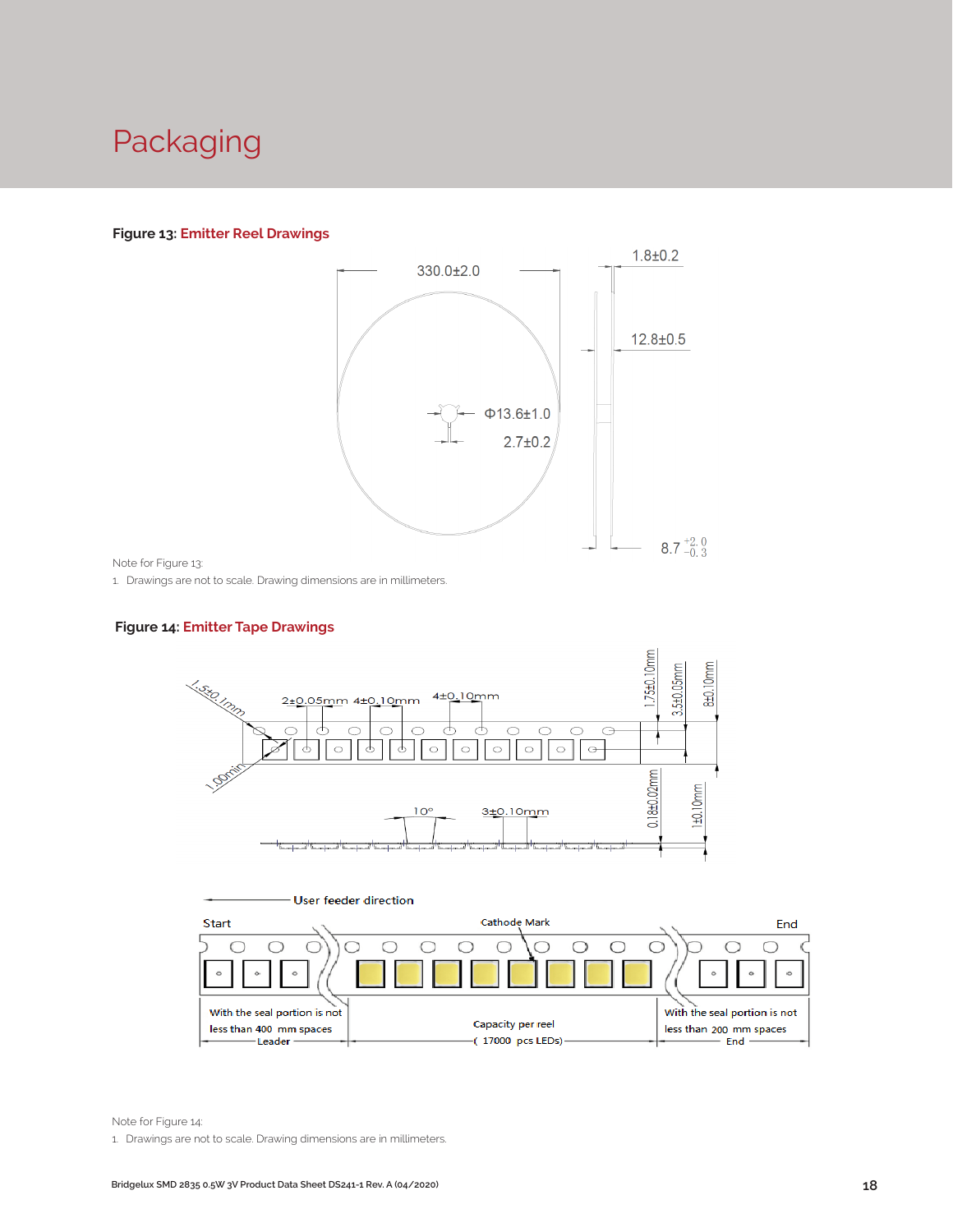### Packaging

#### **Figure 13: Emitter Reel Drawings**



Note for Figure 13:

1. Drawings are not to scale. Drawing dimensions are in millimeters.

#### **Figure 14: Emitter Tape Drawings**





Note for Figure 14:

1. Drawings are not to scale. Drawing dimensions are in millimeters.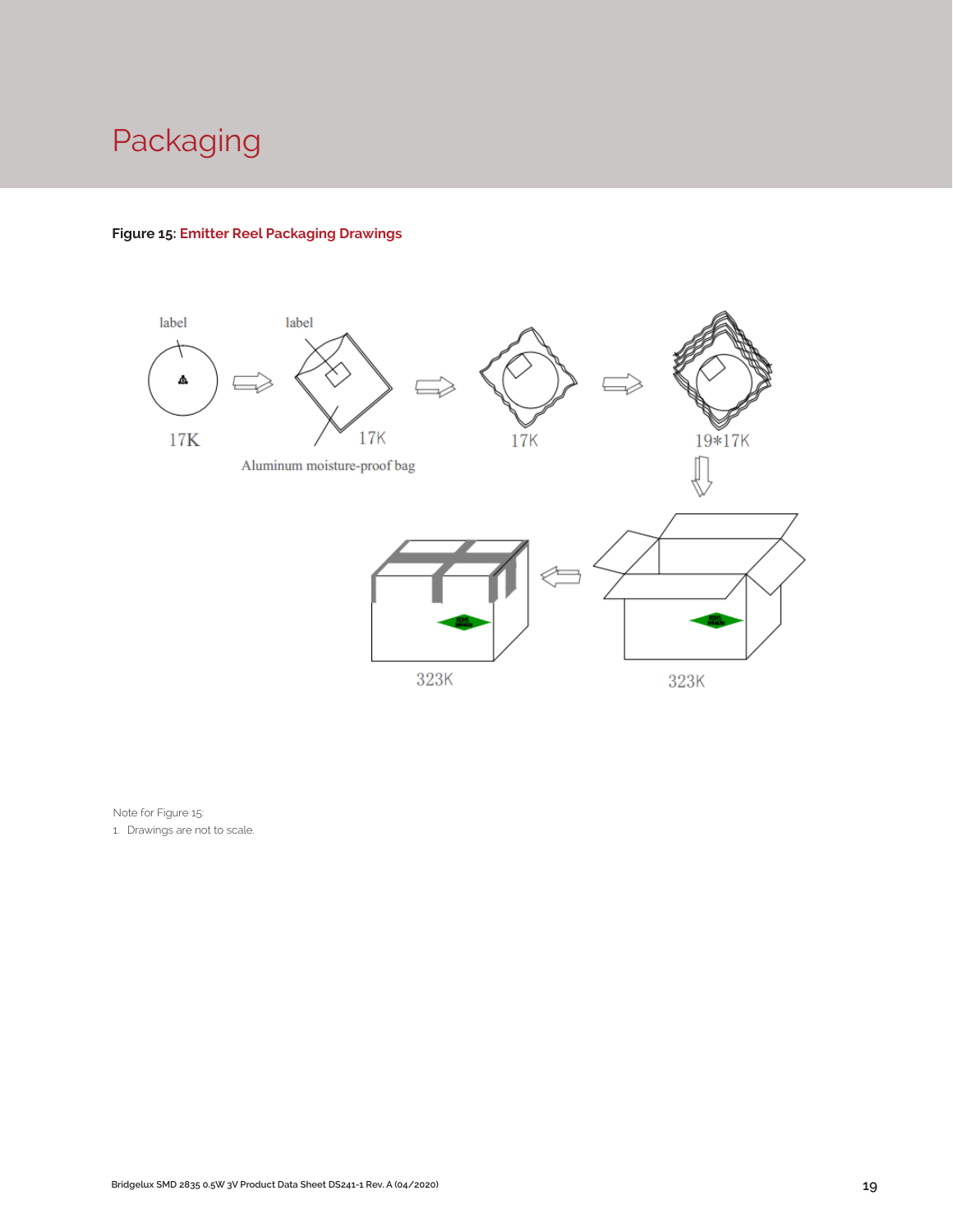## Packaging

#### **Figure 15: Emitter Reel Packaging Drawings**



Note for Figure 15:

1. Drawings are not to scale.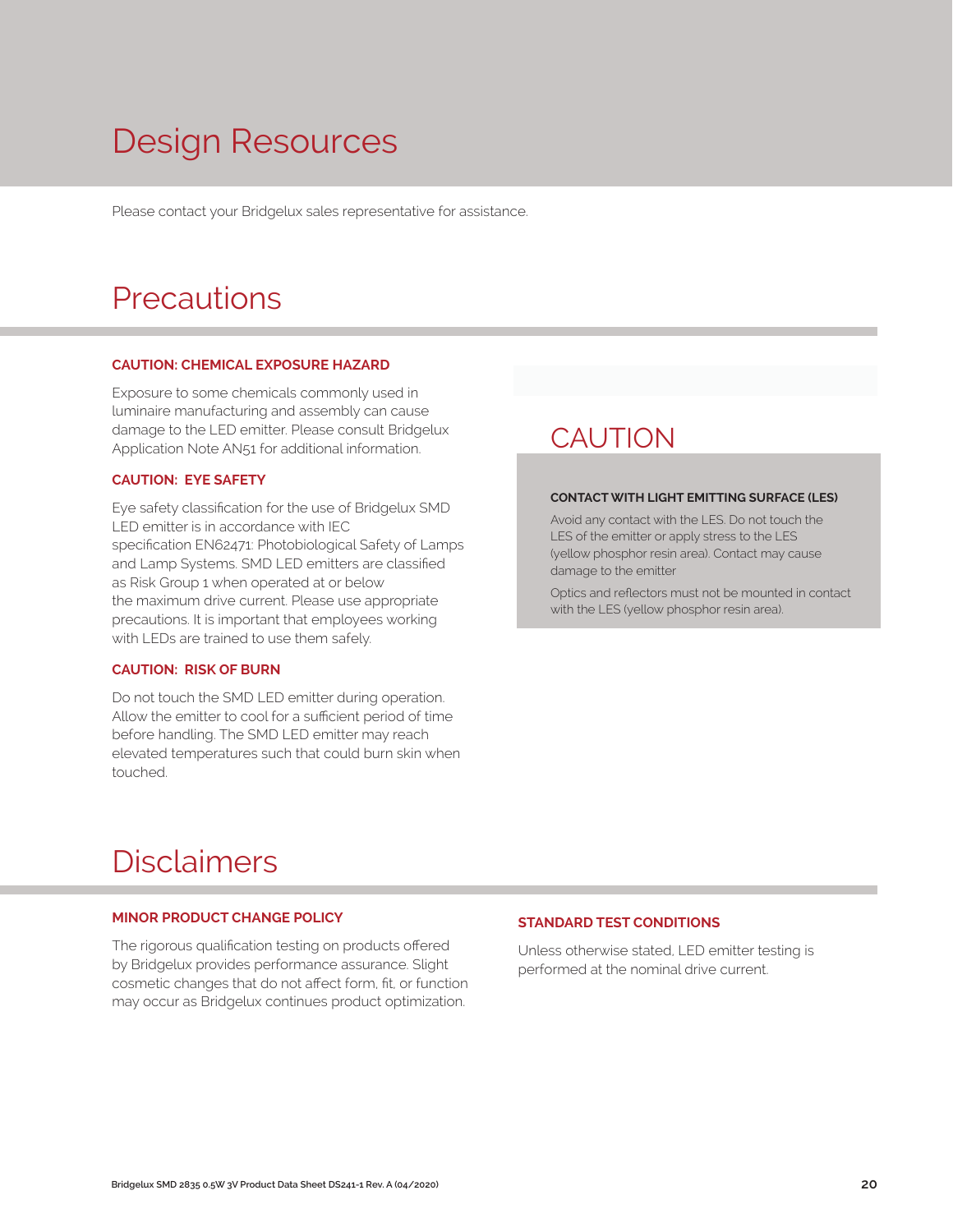# Design Resources

Please contact your Bridgelux sales representative for assistance.

### **Precautions**

#### **CAUTION: CHEMICAL EXPOSURE HAZARD**

Exposure to some chemicals commonly used in luminaire manufacturing and assembly can cause damage to the LED emitter. Please consult Bridgelux Application Note AN51 for additional information.

#### **CAUTION: EYE SAFETY**

Eye safety classification for the use of Bridgelux SMD LED emitter is in accordance with IEC specification EN62471: Photobiological Safety of Lamps and Lamp Systems. SMD LED emitters are classified as Risk Group 1 when operated at or below the maximum drive current. Please use appropriate precautions. It is important that employees working with LEDs are trained to use them safely.

#### **CAUTION: RISK OF BURN**

Do not touch the SMD LED emitter during operation. Allow the emitter to cool for a sufficient period of time before handling. The SMD LED emitter may reach elevated temperatures such that could burn skin when touched.

### **CAUTION**

#### **CONTACT WITH LIGHT EMITTING SURFACE (LES)**

Avoid any contact with the LES. Do not touch the LES of the emitter or apply stress to the LES (yellow phosphor resin area). Contact may cause damage to the emitter

Optics and reflectors must not be mounted in contact with the LES (yellow phosphor resin area).

### Disclaimers

#### **MINOR PRODUCT CHANGE POLICY**

The rigorous qualification testing on products offered by Bridgelux provides performance assurance. Slight cosmetic changes that do not affect form, fit, or function may occur as Bridgelux continues product optimization.

#### **STANDARD TEST CONDITIONS**

Unless otherwise stated, LED emitter testing is performed at the nominal drive current.